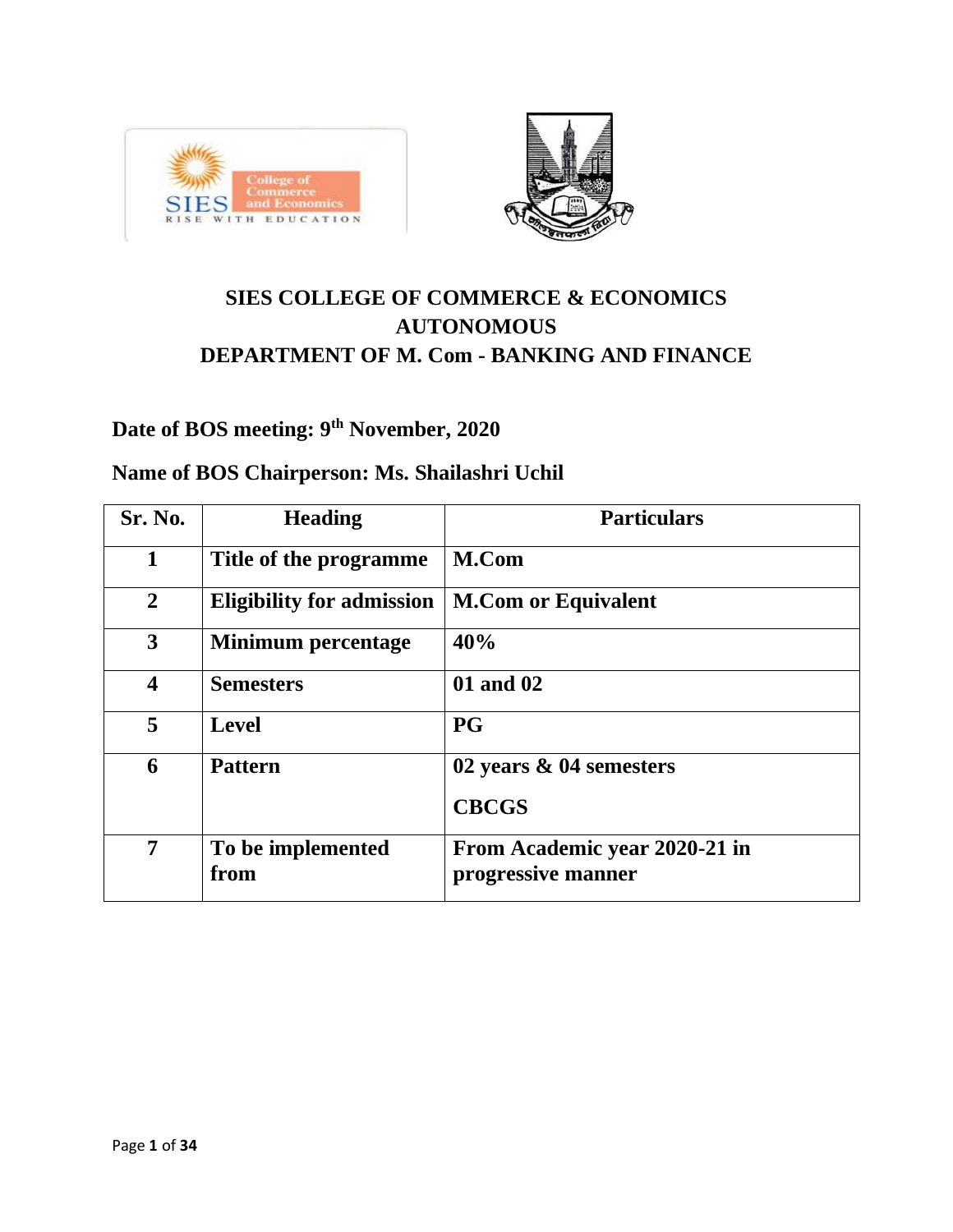



# **SIES COLLEGE OF COMMERCE & ECONOMICS AUTONOMOUS DEPARTMENT OF M. Com - BANKING AND FINANCE**

# **Date of BOS meeting: 9th November, 2020**

# **Name of BOS Chairperson: Ms. Shailashri Uchil**

| Sr. No.      | <b>Heading</b>                   | <b>Particulars</b>                                  |
|--------------|----------------------------------|-----------------------------------------------------|
| 1            | Title of the programme           | M.Com                                               |
| $\mathbf{2}$ | <b>Eligibility for admission</b> | <b>M.Com or Equivalent</b>                          |
| 3            | <b>Minimum percentage</b>        | 40%                                                 |
| 4            | <b>Semesters</b>                 | 01 and 02                                           |
| 5            | <b>Level</b>                     | P G                                                 |
| 6            | <b>Pattern</b>                   | 02 years & 04 semesters<br><b>CBCGS</b>             |
|              |                                  |                                                     |
| 7            | To be implemented<br>from        | From Academic year 2020-21 in<br>progressive manner |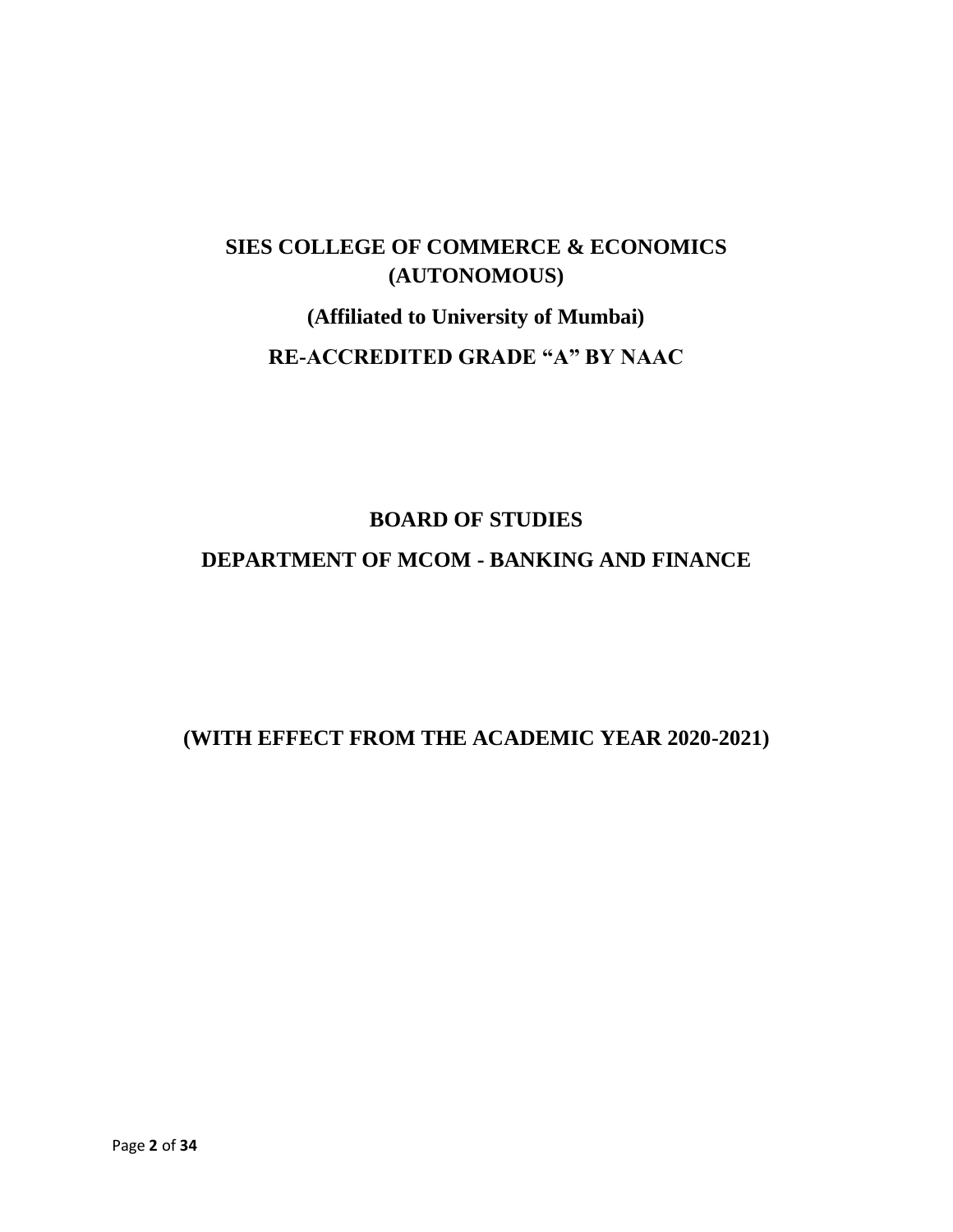# **SIES COLLEGE OF COMMERCE & ECONOMICS (AUTONOMOUS)**

# **(Affiliated to University of Mumbai) RE-ACCREDITED GRADE "A" BY NAAC**

# **BOARD OF STUDIES**

# **DEPARTMENT OF MCOM - BANKING AND FINANCE**

# **(WITH EFFECT FROM THE ACADEMIC YEAR 2020-2021)**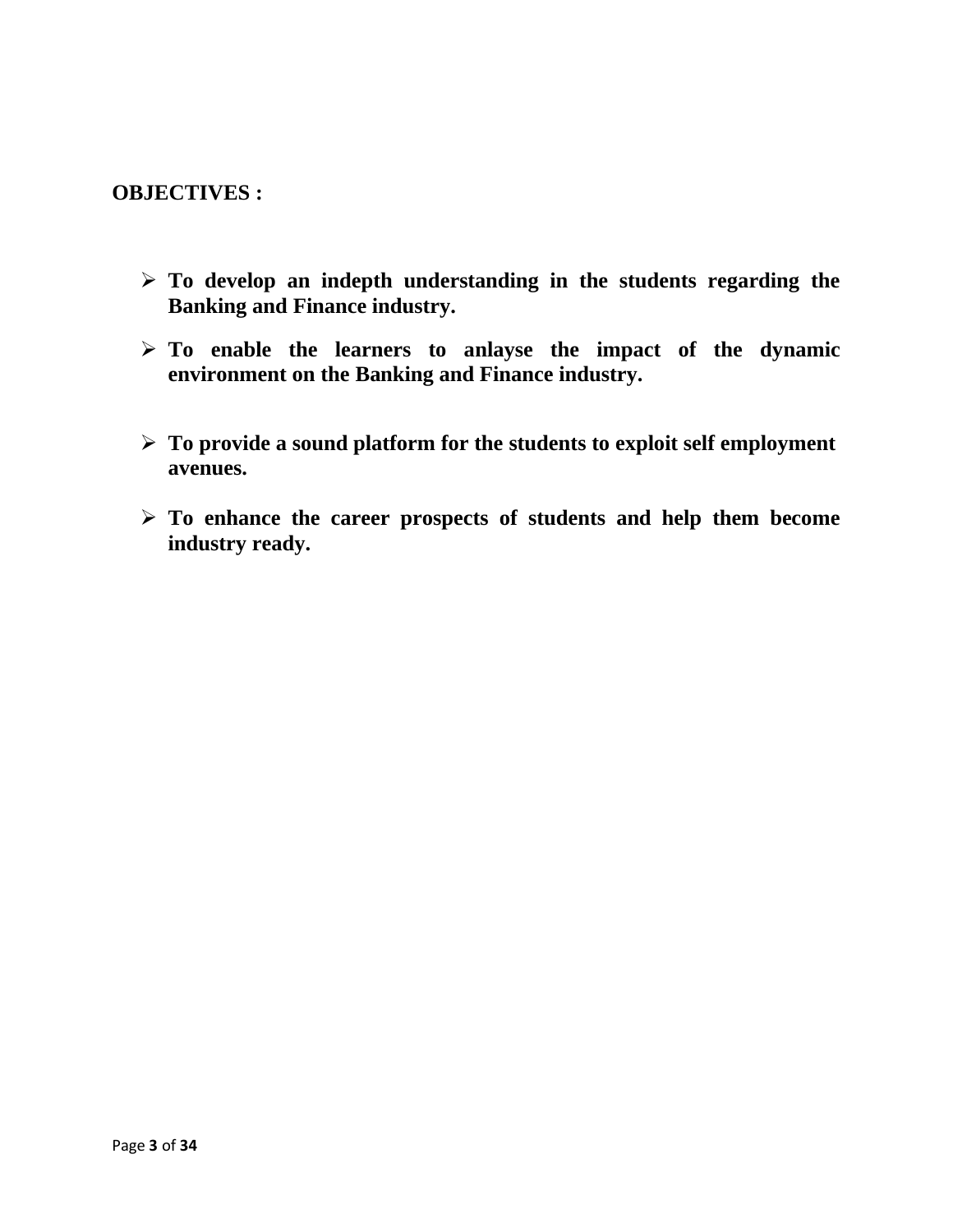#### **OBJECTIVES :**

- ➢ **To develop an indepth understanding in the students regarding the Banking and Finance industry.**
- ➢ **To enable the learners to anlayse the impact of the dynamic environment on the Banking and Finance industry.**
- ➢ **To provide a sound platform for the students to exploit self employment avenues.**
- ➢ **To enhance the career prospects of students and help them become industry ready.**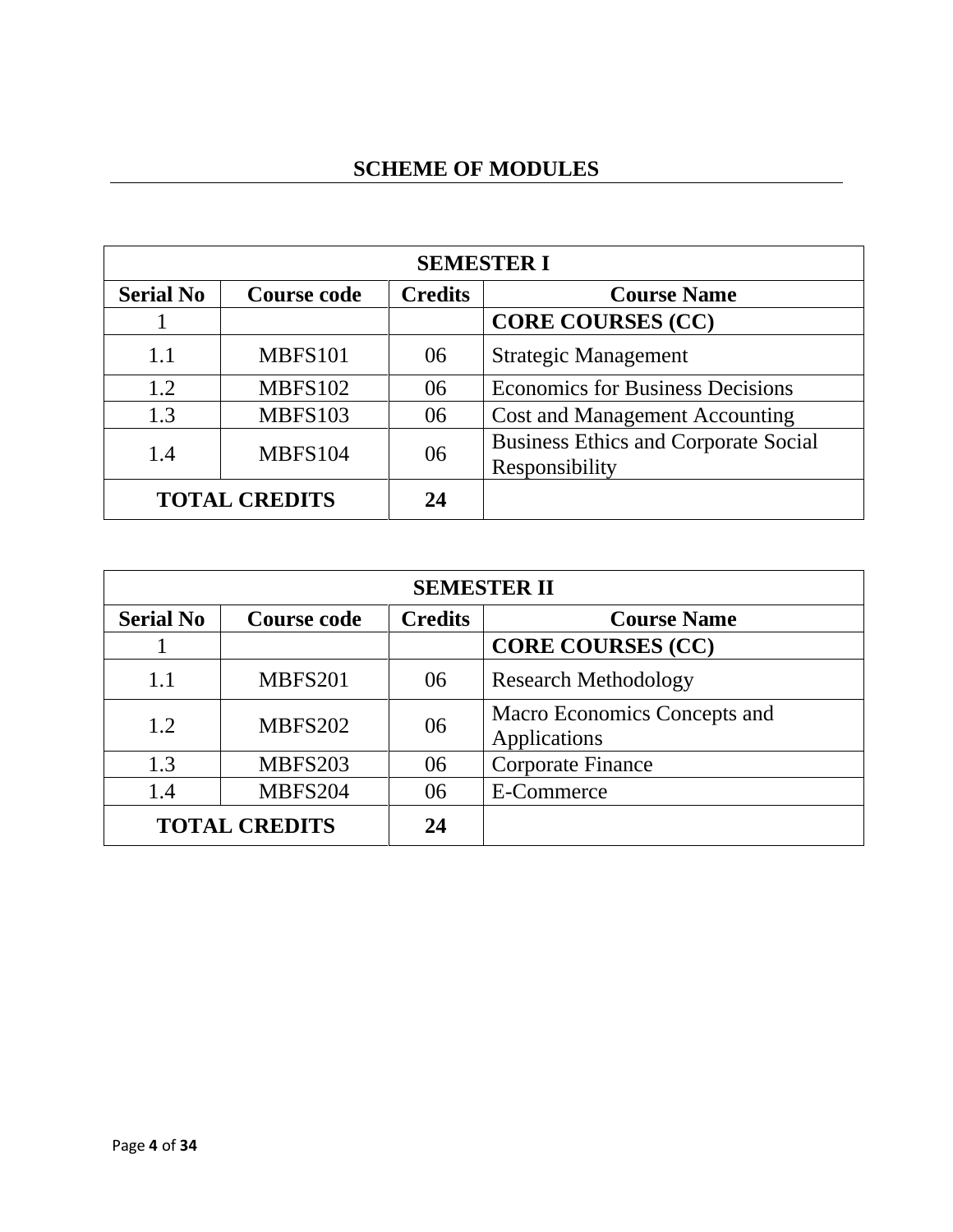## **SCHEME OF MODULES**

| <b>SEMESTER I</b>                      |                |                |                                                               |  |  |
|----------------------------------------|----------------|----------------|---------------------------------------------------------------|--|--|
| <b>Serial No</b><br><b>Course code</b> |                | <b>Credits</b> | <b>Course Name</b>                                            |  |  |
|                                        |                |                | <b>CORE COURSES (CC)</b>                                      |  |  |
| 1.1                                    | MBFS101        | 06             | <b>Strategic Management</b>                                   |  |  |
| 1.2                                    | <b>MBFS102</b> | 06             | <b>Economics for Business Decisions</b>                       |  |  |
| 1.3                                    | <b>MBFS103</b> | 06             | <b>Cost and Management Accounting</b>                         |  |  |
| 1.4                                    | <b>MBFS104</b> | 06             | <b>Business Ethics and Corporate Social</b><br>Responsibility |  |  |
| <b>TOTAL CREDITS</b><br>24             |                |                |                                                               |  |  |

| <b>SEMESTER II</b>   |                    |                |                                              |  |  |
|----------------------|--------------------|----------------|----------------------------------------------|--|--|
| <b>Serial No</b>     | <b>Course code</b> | <b>Credits</b> | <b>Course Name</b>                           |  |  |
|                      |                    |                | <b>CORE COURSES (CC)</b>                     |  |  |
| 1.1                  | <b>MBFS201</b>     | 06             | <b>Research Methodology</b>                  |  |  |
| 1.2                  | <b>MBFS202</b>     | 06             | Macro Economics Concepts and<br>Applications |  |  |
| 1.3                  | <b>MBFS203</b>     | 06             | Corporate Finance                            |  |  |
| 1.4                  | <b>MBFS204</b>     | 06             | E-Commerce                                   |  |  |
| <b>TOTAL CREDITS</b> |                    | 24             |                                              |  |  |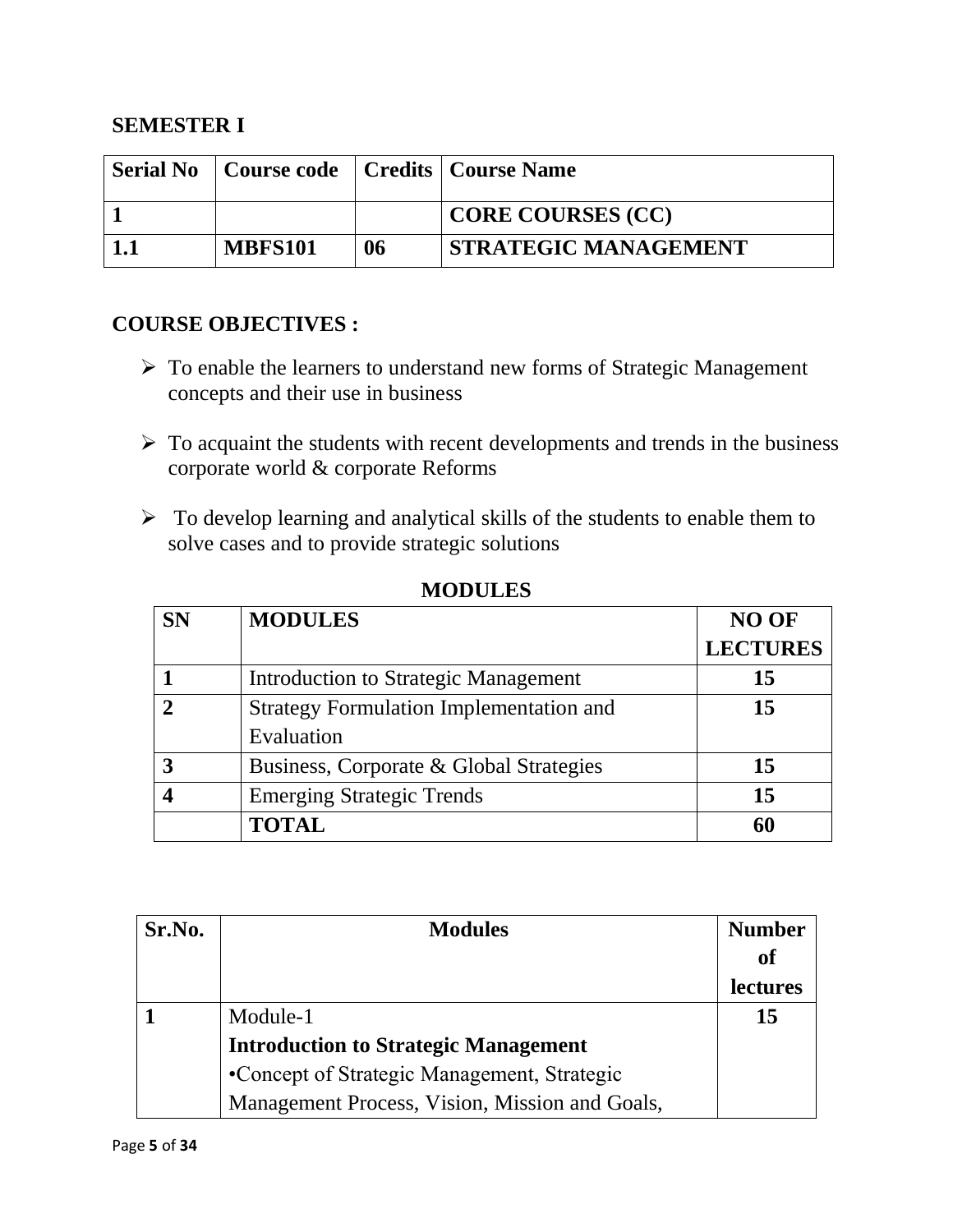#### **SEMESTER I**

|                |    | <b>Serial No</b>   Course code   Credits   Course Name |
|----------------|----|--------------------------------------------------------|
|                |    | CORE COURSES (CC)                                      |
| <b>MBFS101</b> | 06 | <b>STRATEGIC MANAGEMENT</b>                            |

### **COURSE OBJECTIVES :**

- ➢ To enable the learners to understand new forms of Strategic Management concepts and their use in business
- $\triangleright$  To acquaint the students with recent developments and trends in the business corporate world & corporate Reforms
- $\triangleright$  To develop learning and analytical skills of the students to enable them to solve cases and to provide strategic solutions

| <b>SN</b> | <b>MODULES</b>                                 | <b>NO OF</b>    |
|-----------|------------------------------------------------|-----------------|
|           |                                                | <b>LECTURES</b> |
|           | <b>Introduction to Strategic Management</b>    | 15              |
|           | <b>Strategy Formulation Implementation and</b> | 15              |
|           | Evaluation                                     |                 |
|           | Business, Corporate & Global Strategies        | 15              |
|           | <b>Emerging Strategic Trends</b>               | 15              |
|           | <b>TOTAL</b>                                   |                 |

#### **MODULES**

| Sr.No. | <b>Modules</b>                                 | <b>Number</b> |
|--------|------------------------------------------------|---------------|
|        |                                                | of            |
|        |                                                | lectures      |
|        | Module-1                                       | 15            |
|        | <b>Introduction to Strategic Management</b>    |               |
|        | •Concept of Strategic Management, Strategic    |               |
|        | Management Process, Vision, Mission and Goals, |               |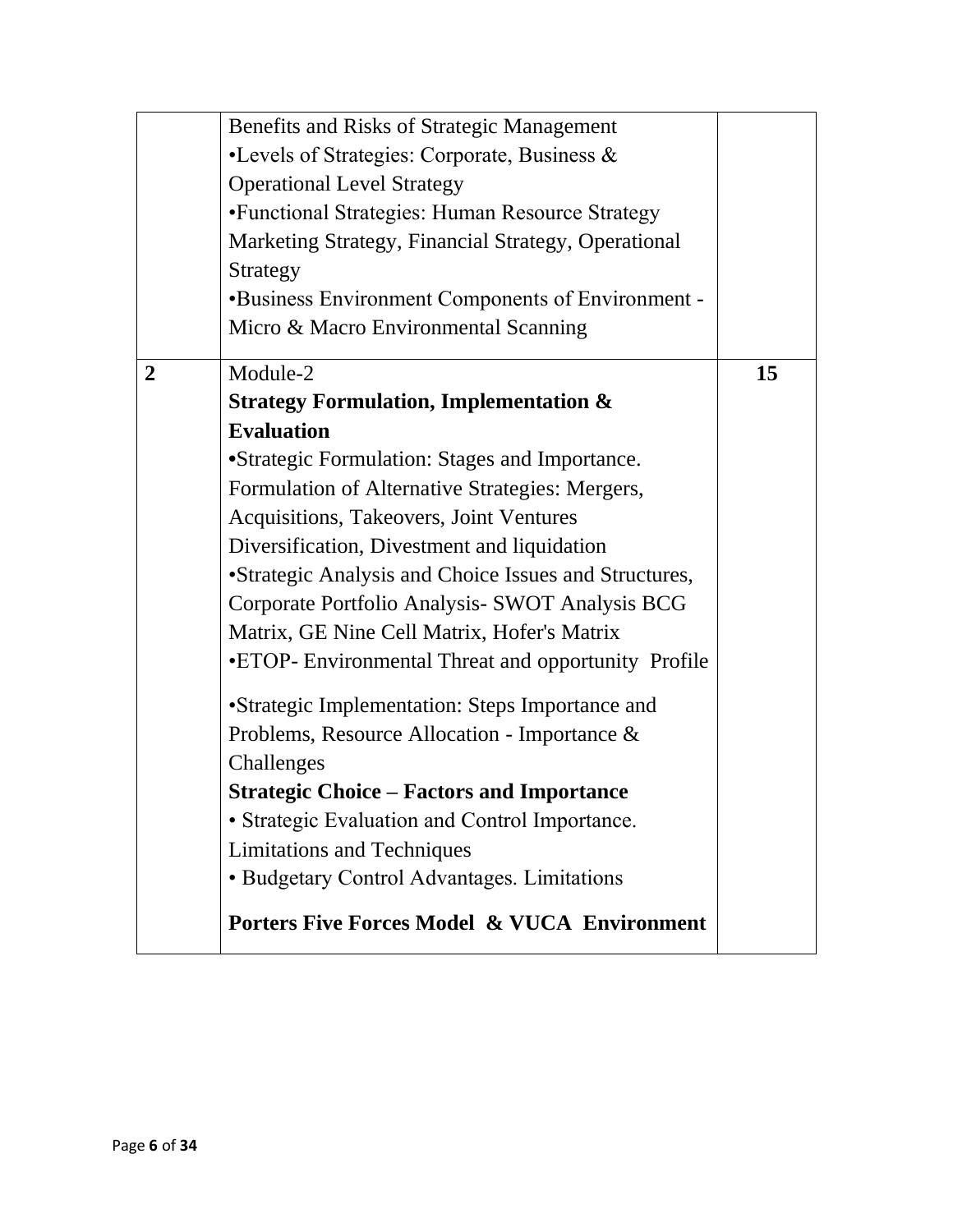|                | Benefits and Risks of Strategic Management              |    |
|----------------|---------------------------------------------------------|----|
|                | •Levels of Strategies: Corporate, Business &            |    |
|                | <b>Operational Level Strategy</b>                       |    |
|                | •Functional Strategies: Human Resource Strategy         |    |
|                | Marketing Strategy, Financial Strategy, Operational     |    |
|                | Strategy                                                |    |
|                | •Business Environment Components of Environment -       |    |
|                | Micro & Macro Environmental Scanning                    |    |
| $\overline{2}$ | Module-2                                                | 15 |
|                | <b>Strategy Formulation, Implementation &amp;</b>       |    |
|                | <b>Evaluation</b>                                       |    |
|                | •Strategic Formulation: Stages and Importance.          |    |
|                | Formulation of Alternative Strategies: Mergers,         |    |
|                | Acquisitions, Takeovers, Joint Ventures                 |    |
|                | Diversification, Divestment and liquidation             |    |
|                | • Strategic Analysis and Choice Issues and Structures,  |    |
|                | Corporate Portfolio Analysis- SWOT Analysis BCG         |    |
|                | Matrix, GE Nine Cell Matrix, Hofer's Matrix             |    |
|                | •ETOP- Environmental Threat and opportunity Profile     |    |
|                | • Strategic Implementation: Steps Importance and        |    |
|                | Problems, Resource Allocation - Importance &            |    |
|                | Challenges                                              |    |
|                | <b>Strategic Choice – Factors and Importance</b>        |    |
|                | • Strategic Evaluation and Control Importance.          |    |
|                | <b>Limitations and Techniques</b>                       |    |
|                | • Budgetary Control Advantages. Limitations             |    |
|                | <b>Porters Five Forces Model &amp; VUCA Environment</b> |    |
|                |                                                         |    |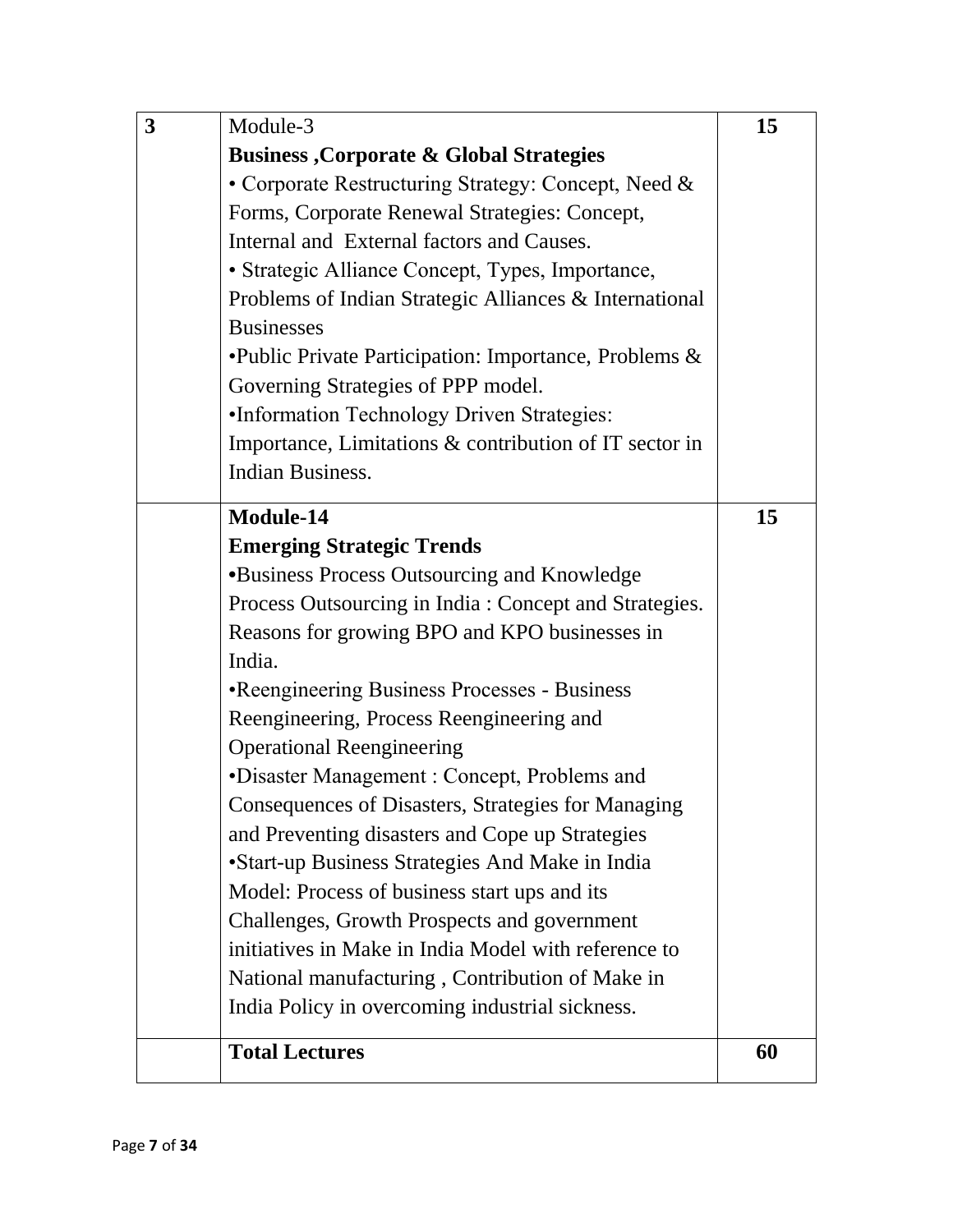| 3 | Module-3                                               | 15 |
|---|--------------------------------------------------------|----|
|   | <b>Business , Corporate &amp; Global Strategies</b>    |    |
|   | • Corporate Restructuring Strategy: Concept, Need &    |    |
|   | Forms, Corporate Renewal Strategies: Concept,          |    |
|   | Internal and External factors and Causes.              |    |
|   | • Strategic Alliance Concept, Types, Importance,       |    |
|   | Problems of Indian Strategic Alliances & International |    |
|   | <b>Businesses</b>                                      |    |
|   | •Public Private Participation: Importance, Problems &  |    |
|   | Governing Strategies of PPP model.                     |    |
|   | •Information Technology Driven Strategies:             |    |
|   | Importance, Limitations & contribution of IT sector in |    |
|   | Indian Business.                                       |    |
|   | <b>Module-14</b>                                       | 15 |
|   | <b>Emerging Strategic Trends</b>                       |    |
|   | <b>•Business Process Outsourcing and Knowledge</b>     |    |
|   | Process Outsourcing in India: Concept and Strategies.  |    |
|   | Reasons for growing BPO and KPO businesses in          |    |
|   | India.                                                 |    |
|   | •Reengineering Business Processes - Business           |    |
|   | Reengineering, Process Reengineering and               |    |
|   | <b>Operational Reengineering</b>                       |    |
|   | •Disaster Management: Concept, Problems and            |    |
|   | Consequences of Disasters, Strategies for Managing     |    |
|   | and Preventing disasters and Cope up Strategies        |    |
|   | •Start-up Business Strategies And Make in India        |    |
|   | Model: Process of business start ups and its           |    |
|   | Challenges, Growth Prospects and government            |    |
|   | initiatives in Make in India Model with reference to   |    |
|   | National manufacturing, Contribution of Make in        |    |
|   | India Policy in overcoming industrial sickness.        |    |
|   | <b>Total Lectures</b>                                  | 60 |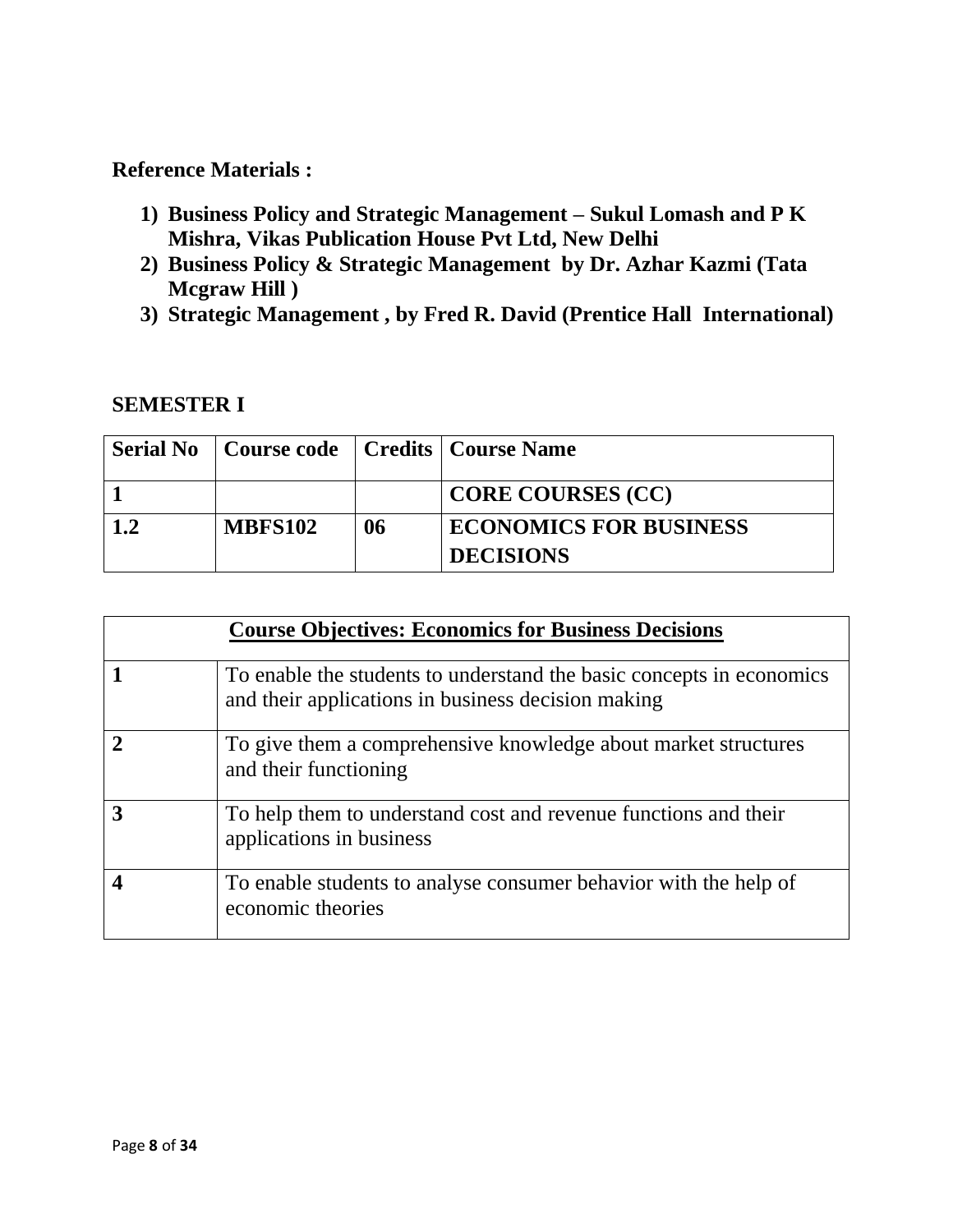**Reference Materials :**

- **1) Business Policy and Strategic Management – Sukul Lomash and P K Mishra, Vikas Publication House Pvt Ltd, New Delhi**
- **2) Business Policy & Strategic Management by Dr. Azhar Kazmi (Tata Mcgraw Hill )**
- **3) Strategic Management , by Fred R. David (Prentice Hall International)**

#### **SEMESTER I**

| <b>Serial No</b> | Course code   Credits   Course Name |    |                                                   |
|------------------|-------------------------------------|----|---------------------------------------------------|
|                  |                                     |    | <b>CORE COURSES (CC)</b>                          |
| 1.2              | <b>MBFS102</b>                      | 06 | <b>ECONOMICS FOR BUSINESS</b><br><b>DECISIONS</b> |

| <b>Course Objectives: Economics for Business Decisions</b>                                                                 |
|----------------------------------------------------------------------------------------------------------------------------|
| To enable the students to understand the basic concepts in economics<br>and their applications in business decision making |
| To give them a comprehensive knowledge about market structures<br>and their functioning                                    |
| To help them to understand cost and revenue functions and their<br>applications in business                                |
| To enable students to analyse consumer behavior with the help of<br>economic theories                                      |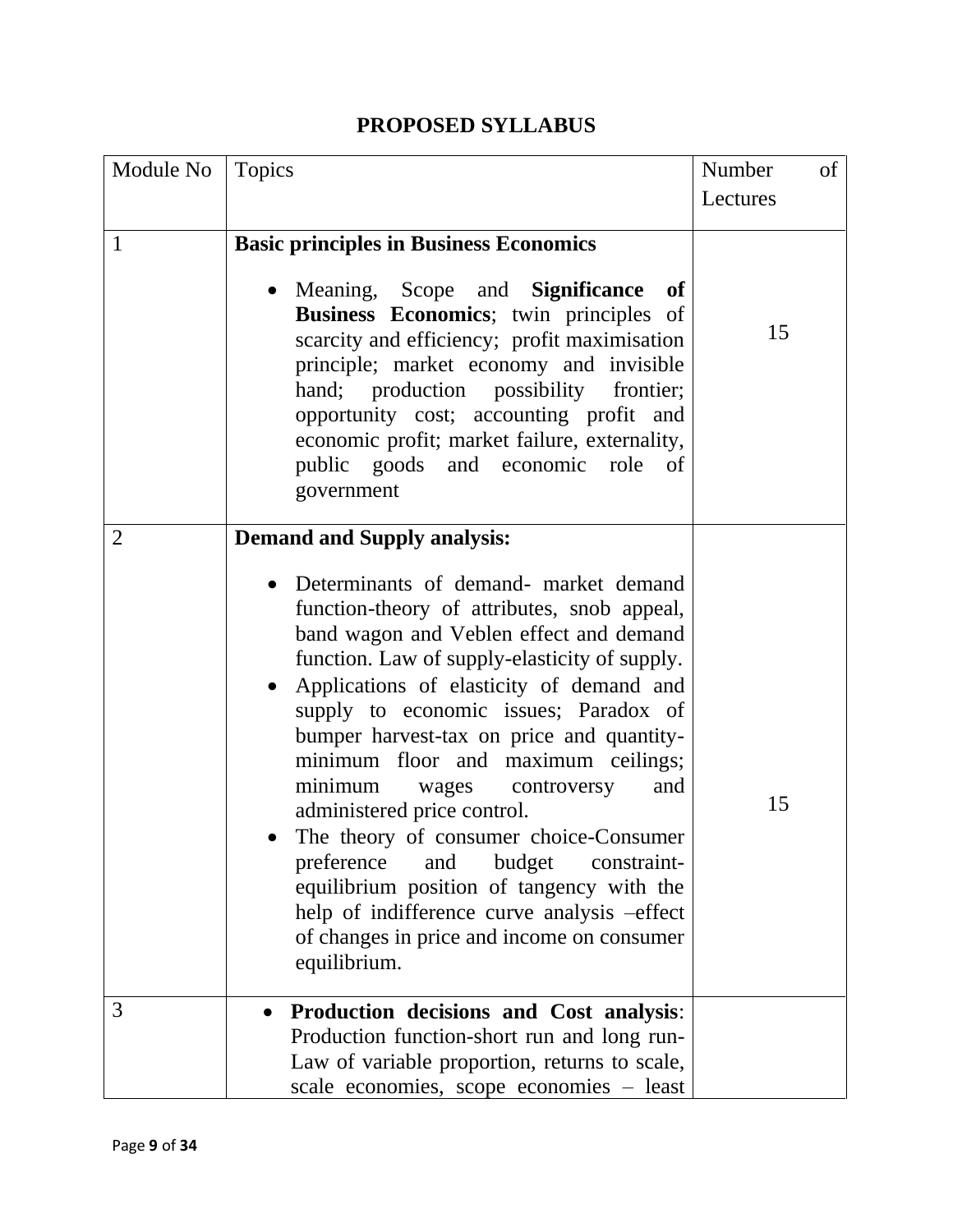# **PROPOSED SYLLABUS**

| Module No      | <b>Topics</b>                                                                                                                                                                                                                                                                                                                                                                                                                                                                                                                                                                                                                                                                                                              | Number   | of |
|----------------|----------------------------------------------------------------------------------------------------------------------------------------------------------------------------------------------------------------------------------------------------------------------------------------------------------------------------------------------------------------------------------------------------------------------------------------------------------------------------------------------------------------------------------------------------------------------------------------------------------------------------------------------------------------------------------------------------------------------------|----------|----|
|                |                                                                                                                                                                                                                                                                                                                                                                                                                                                                                                                                                                                                                                                                                                                            | Lectures |    |
| 1              | <b>Basic principles in Business Economics</b><br>Meaning, Scope and Significance<br>$\bullet$<br><b>of</b><br>Business Economics; twin principles of<br>scarcity and efficiency; profit maximisation<br>principle; market economy and invisible<br>hand; production possibility frontier;<br>opportunity cost; accounting profit and<br>economic profit; market failure, externality,<br>public goods and economic role of<br>government                                                                                                                                                                                                                                                                                   | 15       |    |
| $\overline{2}$ | <b>Demand and Supply analysis:</b><br>Determinants of demand- market demand<br>function-theory of attributes, snob appeal,<br>band wagon and Veblen effect and demand<br>function. Law of supply-elasticity of supply.<br>Applications of elasticity of demand and<br>supply to economic issues; Paradox of<br>bumper harvest-tax on price and quantity-<br>minimum floor and maximum ceilings;<br>minimum<br>and<br>wages<br>controversy<br>administered price control.<br>The theory of consumer choice-Consumer<br>preference<br>budget<br>and<br>constraint-<br>equilibrium position of tangency with the<br>help of indifference curve analysis -effect<br>of changes in price and income on consumer<br>equilibrium. | 15       |    |
| 3              | Production decisions and Cost analysis:<br>Production function-short run and long run-<br>Law of variable proportion, returns to scale,<br>scale economies, scope economies - least                                                                                                                                                                                                                                                                                                                                                                                                                                                                                                                                        |          |    |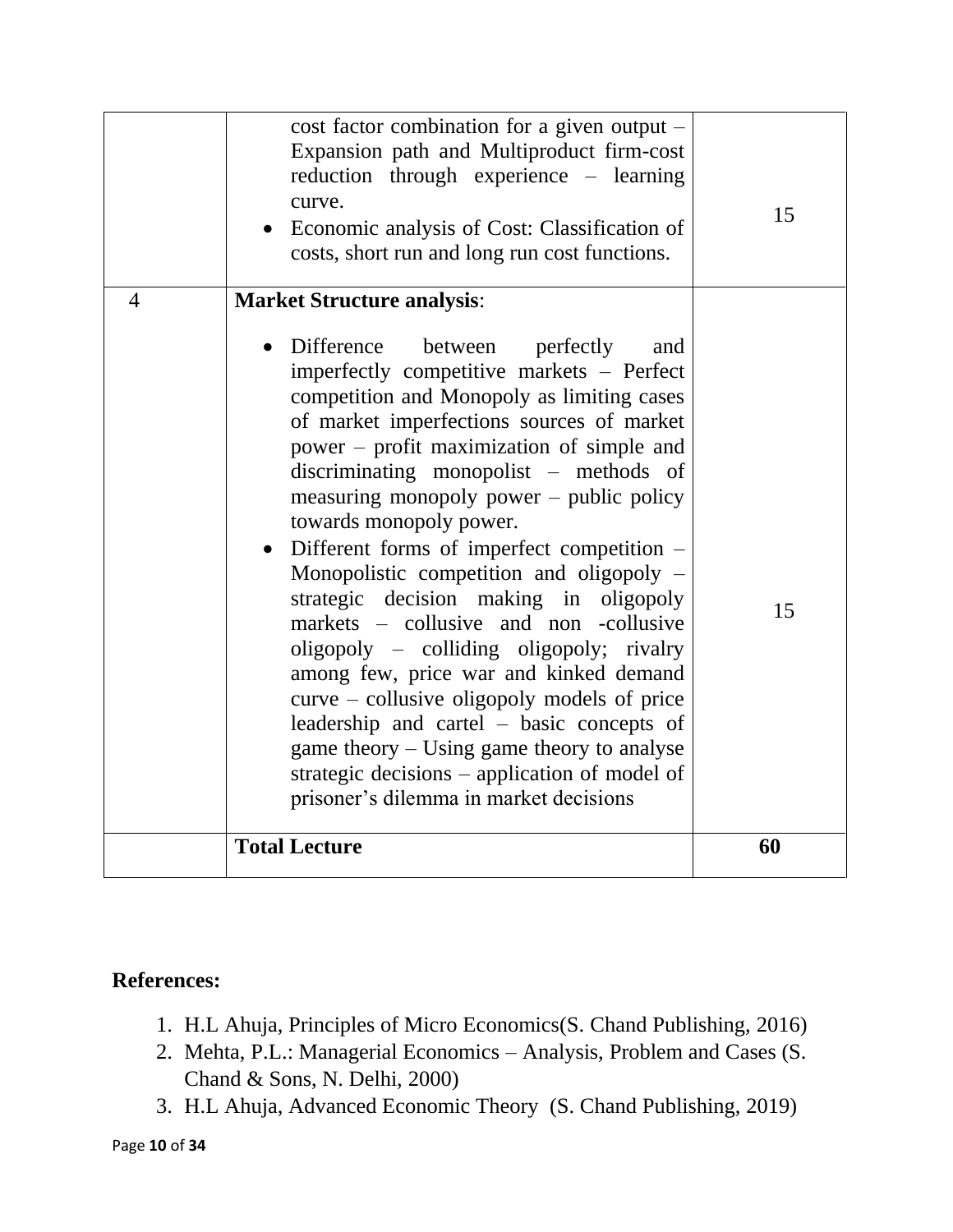| reduction through experience – learning<br>curve.<br>Economic analysis of Cost: Classification of<br>$\bullet$<br>costs, short run and long run cost functions.<br>$\overline{4}$<br><b>Market Structure analysis:</b><br>Difference<br>between<br>perfectly<br>and<br>imperfectly competitive markets - Perfect<br>competition and Monopoly as limiting cases<br>of market imperfections sources of market<br>power – profit maximization of simple and<br>discriminating monopolist – methods of<br>measuring monopoly power – public policy<br>towards monopoly power.<br>Different forms of imperfect competition -<br>Monopolistic competition and oligopoly -<br>strategic decision making in oligopoly<br>markets – collusive and non -collusive<br>oligopoly – colliding oligopoly; rivalry | 15<br>15 |
|-----------------------------------------------------------------------------------------------------------------------------------------------------------------------------------------------------------------------------------------------------------------------------------------------------------------------------------------------------------------------------------------------------------------------------------------------------------------------------------------------------------------------------------------------------------------------------------------------------------------------------------------------------------------------------------------------------------------------------------------------------------------------------------------------------|----------|
| among few, price war and kinked demand<br>curve – collusive oligopoly models of price<br>leadership and cartel - basic concepts of<br>game theory – Using game theory to analyse<br>strategic decisions – application of model of<br>prisoner's dilemma in market decisions<br><b>Total Lecture</b>                                                                                                                                                                                                                                                                                                                                                                                                                                                                                                 | 60       |

## **References:**

- 1. H.L Ahuja, Principles of Micro Economics(S. Chand Publishing, 2016)
- 2. Mehta, P.L.: Managerial Economics Analysis, Problem and Cases (S. Chand & Sons, N. Delhi, 2000)
- 3. H.L Ahuja, Advanced Economic Theory (S. Chand Publishing, 2019)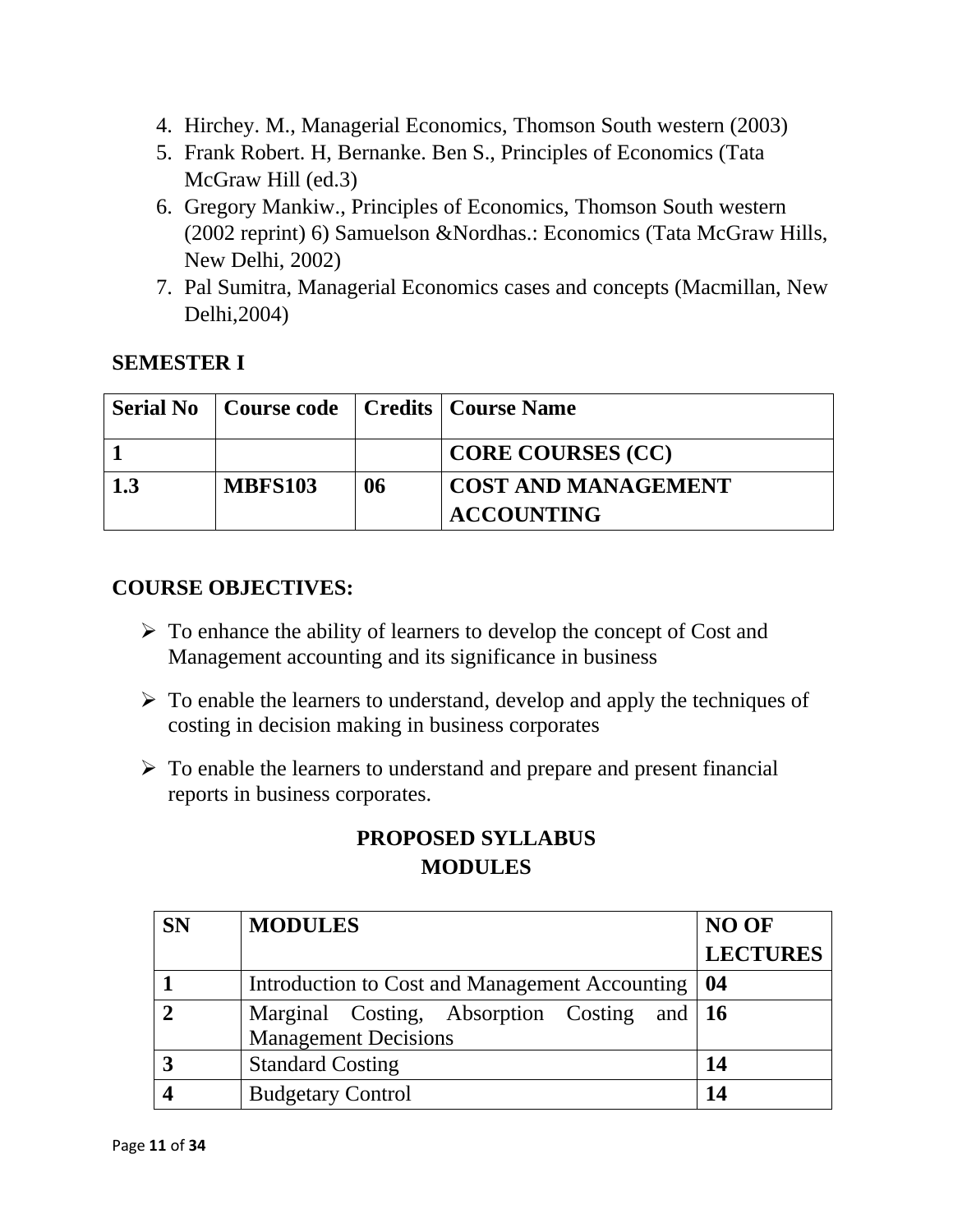- 4. Hirchey. M., Managerial Economics, Thomson South western (2003)
- 5. Frank Robert. H, Bernanke. Ben S., Principles of Economics (Tata McGraw Hill (ed.3)
- 6. Gregory Mankiw., Principles of Economics, Thomson South western (2002 reprint) 6) Samuelson &Nordhas.: Economics (Tata McGraw Hills, New Delhi, 2002)
- 7. Pal Sumitra, Managerial Economics cases and concepts (Macmillan, New Delhi,2004)

#### **SEMESTER I**

| <b>Serial No</b> |                |    | Course code   Credits   Course Name |
|------------------|----------------|----|-------------------------------------|
|                  |                |    | <b>CORE COURSES (CC)</b>            |
| 1.3              | <b>MBFS103</b> | 06 | <b>COST AND MANAGEMENT</b>          |
|                  |                |    | <b>ACCOUNTING</b>                   |

### **COURSE OBJECTIVES:**

- ➢ To enhance the ability of learners to develop the concept of Cost and Management accounting and its significance in business
- $\triangleright$  To enable the learners to understand, develop and apply the techniques of costing in decision making in business corporates
- $\triangleright$  To enable the learners to understand and prepare and present financial reports in business corporates.

# **PROPOSED SYLLABUS MODULES**

| <b>SN</b> | <b>MODULES</b>                                      | <b>NO OF</b>    |
|-----------|-----------------------------------------------------|-----------------|
|           |                                                     | <b>LECTURES</b> |
|           | Introduction to Cost and Management Accounting   04 |                 |
| ↑         | Marginal Costing, Absorption Costing and 16         |                 |
|           | <b>Management Decisions</b>                         |                 |
|           | <b>Standard Costing</b>                             | 14              |
|           | <b>Budgetary Control</b>                            | 14              |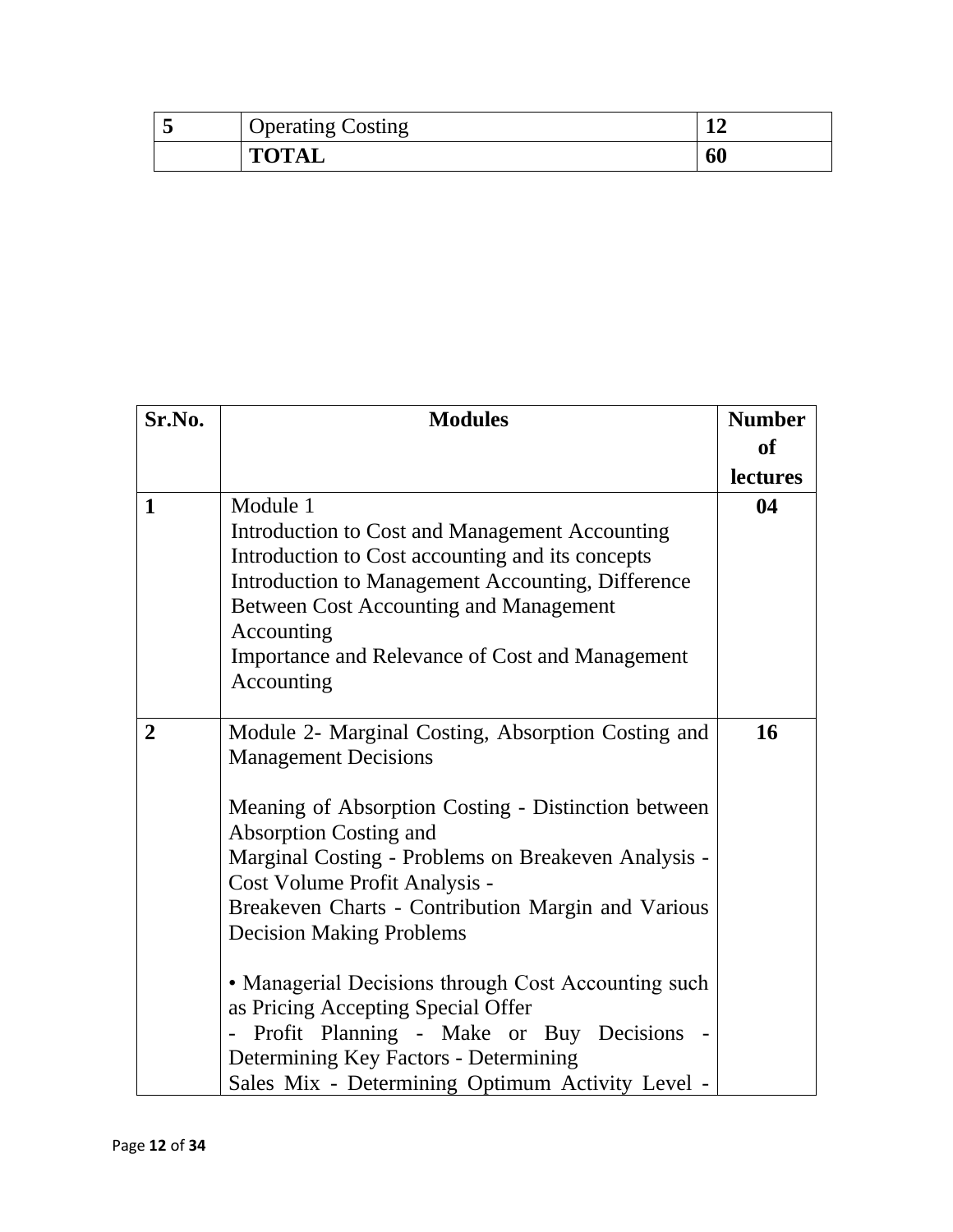| ັ | <b>Operating Costing</b> |    |
|---|--------------------------|----|
|   | <b>TOTAL</b>             | 60 |

| Sr.No.         | <b>Modules</b>                                                                                                                                                                                                                                                                                                                                                                                                                                                                                                                                                                                  | <b>Number</b> |
|----------------|-------------------------------------------------------------------------------------------------------------------------------------------------------------------------------------------------------------------------------------------------------------------------------------------------------------------------------------------------------------------------------------------------------------------------------------------------------------------------------------------------------------------------------------------------------------------------------------------------|---------------|
|                |                                                                                                                                                                                                                                                                                                                                                                                                                                                                                                                                                                                                 | <b>of</b>     |
|                |                                                                                                                                                                                                                                                                                                                                                                                                                                                                                                                                                                                                 | lectures      |
| $\mathbf{1}$   | Module 1<br>Introduction to Cost and Management Accounting<br>Introduction to Cost accounting and its concepts<br>Introduction to Management Accounting, Difference<br><b>Between Cost Accounting and Management</b><br>Accounting<br>Importance and Relevance of Cost and Management<br>Accounting                                                                                                                                                                                                                                                                                             | 04            |
| $\overline{2}$ | Module 2- Marginal Costing, Absorption Costing and<br><b>Management Decisions</b><br>Meaning of Absorption Costing - Distinction between<br><b>Absorption Costing and</b><br>Marginal Costing - Problems on Breakeven Analysis -<br>Cost Volume Profit Analysis -<br>Breakeven Charts - Contribution Margin and Various<br><b>Decision Making Problems</b><br>• Managerial Decisions through Cost Accounting such<br>as Pricing Accepting Special Offer<br>Profit Planning - Make or Buy Decisions<br>Determining Key Factors - Determining<br>Sales Mix - Determining Optimum Activity Level - | 16            |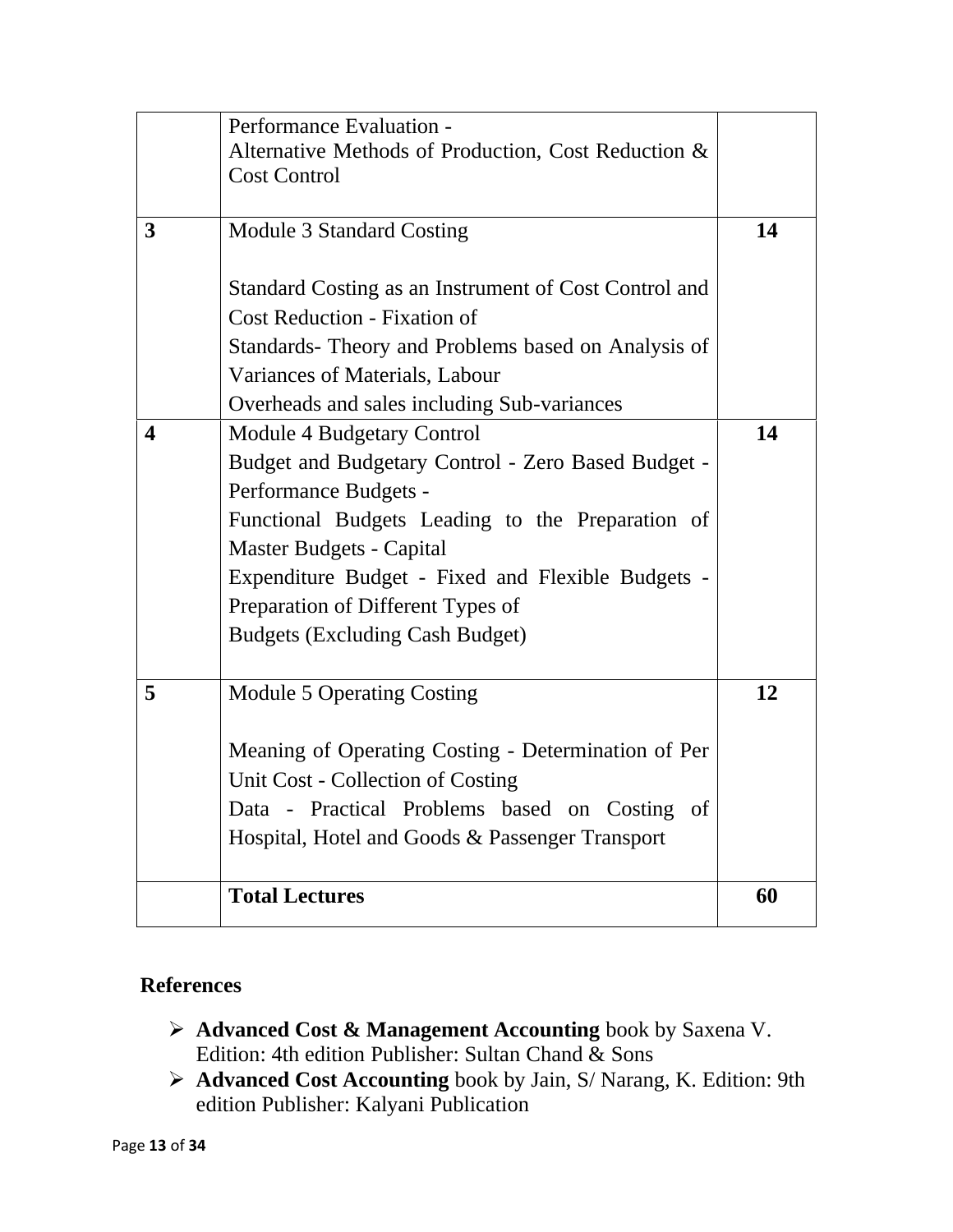|                         | Performance Evaluation -                              |    |
|-------------------------|-------------------------------------------------------|----|
|                         | Alternative Methods of Production, Cost Reduction &   |    |
|                         | <b>Cost Control</b>                                   |    |
|                         |                                                       |    |
| $\mathbf{3}$            | Module 3 Standard Costing                             | 14 |
|                         |                                                       |    |
|                         | Standard Costing as an Instrument of Cost Control and |    |
|                         | <b>Cost Reduction - Fixation of</b>                   |    |
|                         | Standards- Theory and Problems based on Analysis of   |    |
|                         | Variances of Materials, Labour                        |    |
|                         | Overheads and sales including Sub-variances           |    |
| $\overline{\mathbf{4}}$ | Module 4 Budgetary Control                            | 14 |
|                         | Budget and Budgetary Control - Zero Based Budget -    |    |
|                         | Performance Budgets -                                 |    |
|                         | Functional Budgets Leading to the Preparation of      |    |
|                         | Master Budgets - Capital                              |    |
|                         | Expenditure Budget - Fixed and Flexible Budgets -     |    |
|                         | Preparation of Different Types of                     |    |
|                         | <b>Budgets (Excluding Cash Budget)</b>                |    |
|                         |                                                       |    |
| 5                       | Module 5 Operating Costing                            | 12 |
|                         |                                                       |    |
|                         | Meaning of Operating Costing - Determination of Per   |    |
|                         | Unit Cost - Collection of Costing                     |    |
|                         | Data - Practical Problems based on Costing of         |    |
|                         | Hospital, Hotel and Goods & Passenger Transport       |    |
|                         |                                                       |    |
|                         | <b>Total Lectures</b>                                 | 60 |
|                         |                                                       |    |

### **References**

- ➢ **Advanced Cost & Management Accounting** book by Saxena V. Edition: 4th edition Publisher: Sultan [Chand](https://sultan-chand.com/) & Sons
- ➢ **Advanced Cost Accounting** book by Jain, S/ Narang, K. Edition: 9th edition Publisher: Kalyani Publication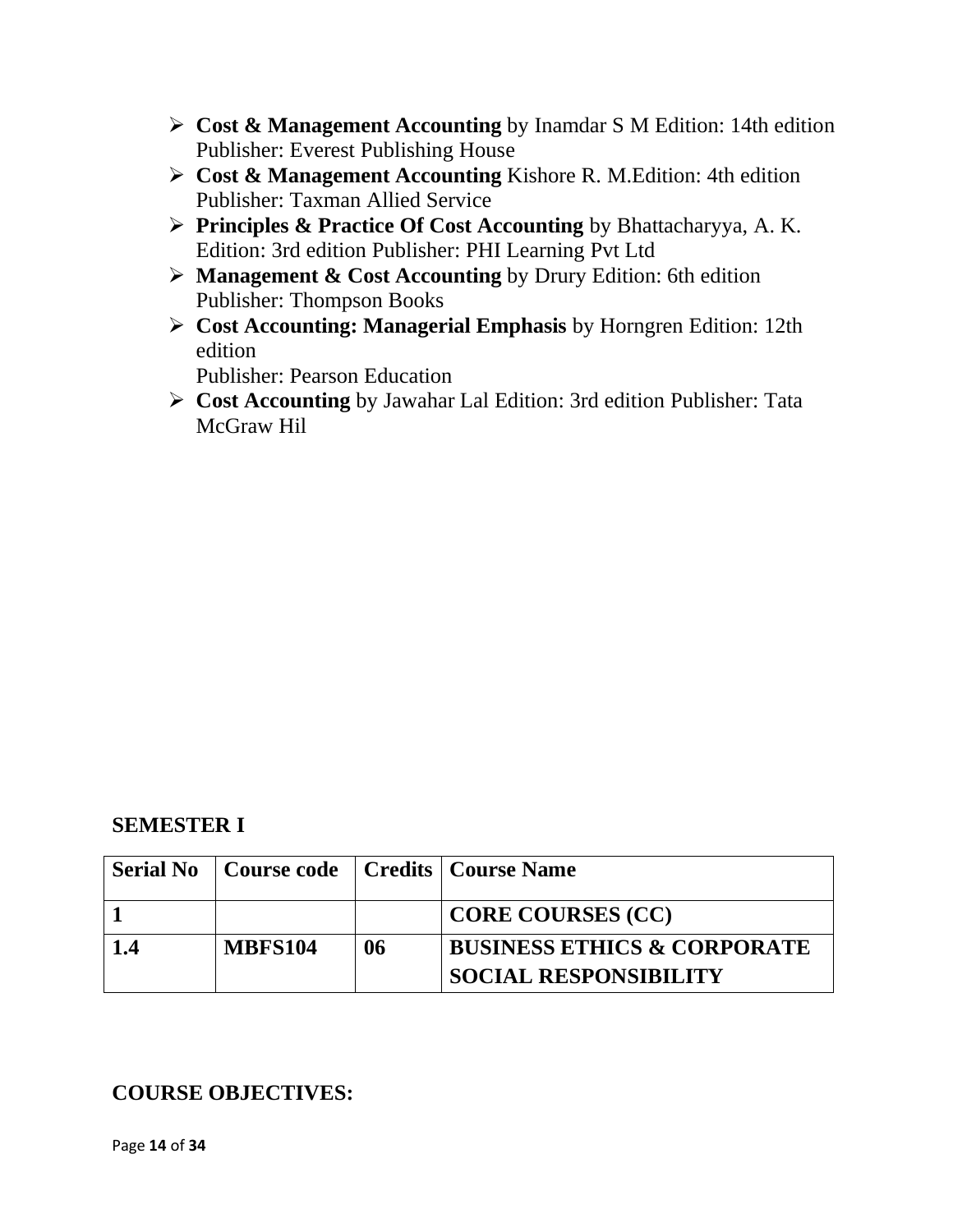- ➢ **Cost & Management Accounting** by Inamdar S M Edition: 14th edition Publisher: Everest [Publishing](https://www.everestpublishinghouse.com/) House
- ➢ **Cost & Management Accounting** Kishore R. M.Edition: 4th edition Publisher: Taxman Allied Service
- ➢ **Principles & Practice Of Cost Accounting** by Bhattacharyya, A. K. Edition: 3rd edition Publisher: PHI Learning Pvt Ltd
- ➢ **Management & Cost Accounting** by Drury Edition: 6th edition Publisher: Thompson Books
- ➢ **Cost Accounting: Managerial Emphasis** by Horngren Edition: 12th edition

Publisher: Pearson Education

➢ **Cost Accounting** by Jawahar Lal Edition: 3rd edition Publisher: Tata McGraw Hil

#### **SEMESTER I**

| <b>Serial No</b> | Course code   Credits   Course Name |    |                                                                        |
|------------------|-------------------------------------|----|------------------------------------------------------------------------|
|                  |                                     |    | <b>CORE COURSES (CC)</b>                                               |
| 1.4              | <b>MBFS104</b>                      | 06 | <b>BUSINESS ETHICS &amp; CORPORATE</b><br><b>SOCIAL RESPONSIBILITY</b> |

### **COURSE OBJECTIVES:**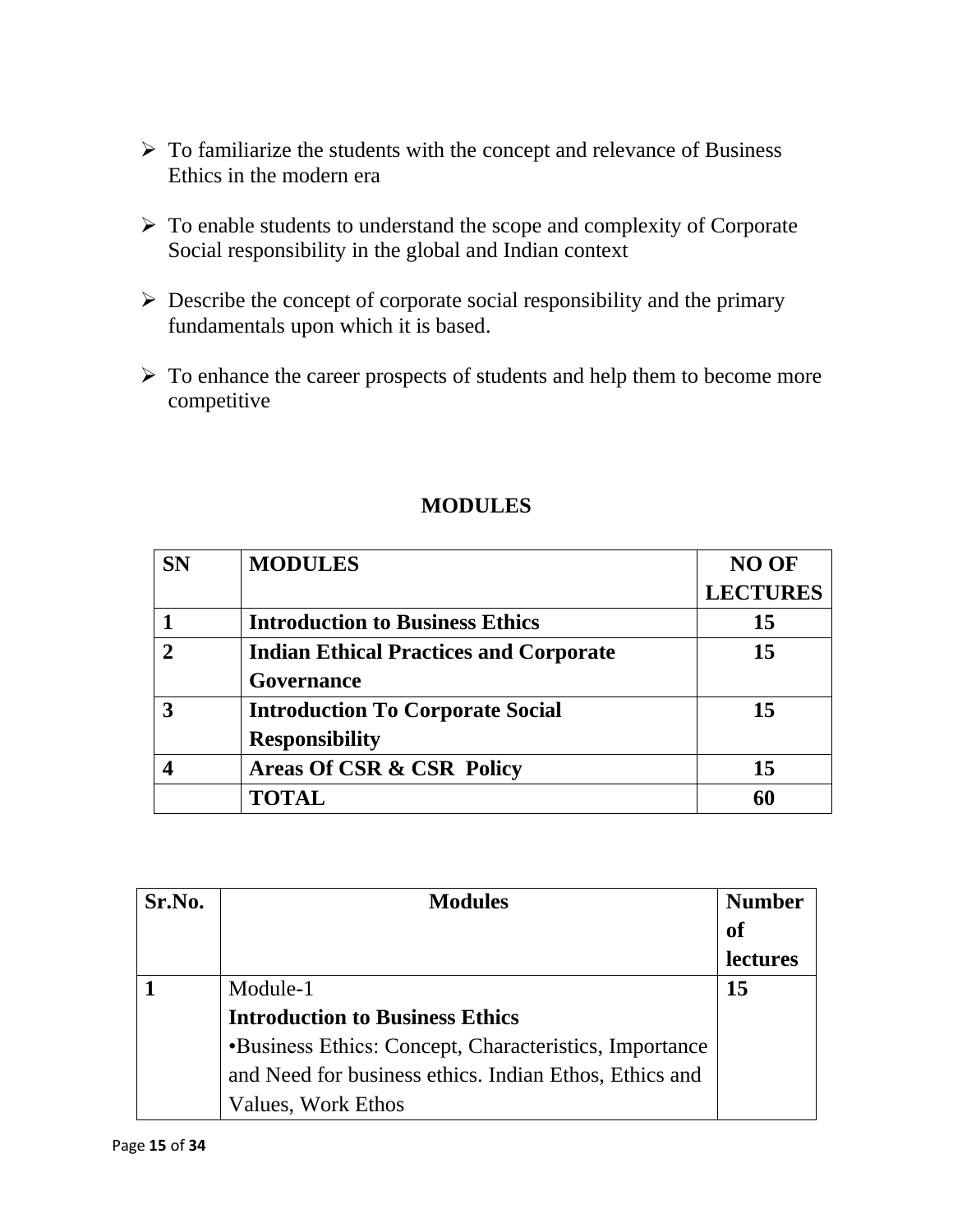- $\triangleright$  To familiarize the students with the concept and relevance of Business Ethics in the modern era
- ➢ To enable students to understand the scope and complexity of Corporate Social responsibility in the global and Indian context
- $\triangleright$  Describe the concept of corporate social responsibility and the primary fundamentals upon which it is based.
- $\triangleright$  To enhance the career prospects of students and help them to become more competitive

| <b>SN</b>    | <b>MODULES</b>                                | <b>NO OF</b>    |  |
|--------------|-----------------------------------------------|-----------------|--|
|              |                                               | <b>LECTURES</b> |  |
|              | <b>Introduction to Business Ethics</b>        | 15              |  |
| $\mathbf{2}$ | <b>Indian Ethical Practices and Corporate</b> | 15              |  |
|              | Governance                                    |                 |  |
|              | <b>Introduction To Corporate Social</b>       | 15              |  |
|              | <b>Responsibility</b>                         |                 |  |
|              | Areas Of CSR & CSR Policy                     | 15              |  |
|              | <b>TOTAL</b>                                  |                 |  |

### **MODULES**

| Sr.No. | <b>Modules</b>                                         | <b>Number</b>   |
|--------|--------------------------------------------------------|-----------------|
|        |                                                        | <sub>of</sub>   |
|        |                                                        | <b>lectures</b> |
|        | Module-1                                               | 15              |
|        | <b>Introduction to Business Ethics</b>                 |                 |
|        | •Business Ethics: Concept, Characteristics, Importance |                 |
|        | and Need for business ethics. Indian Ethos, Ethics and |                 |
|        | Values, Work Ethos                                     |                 |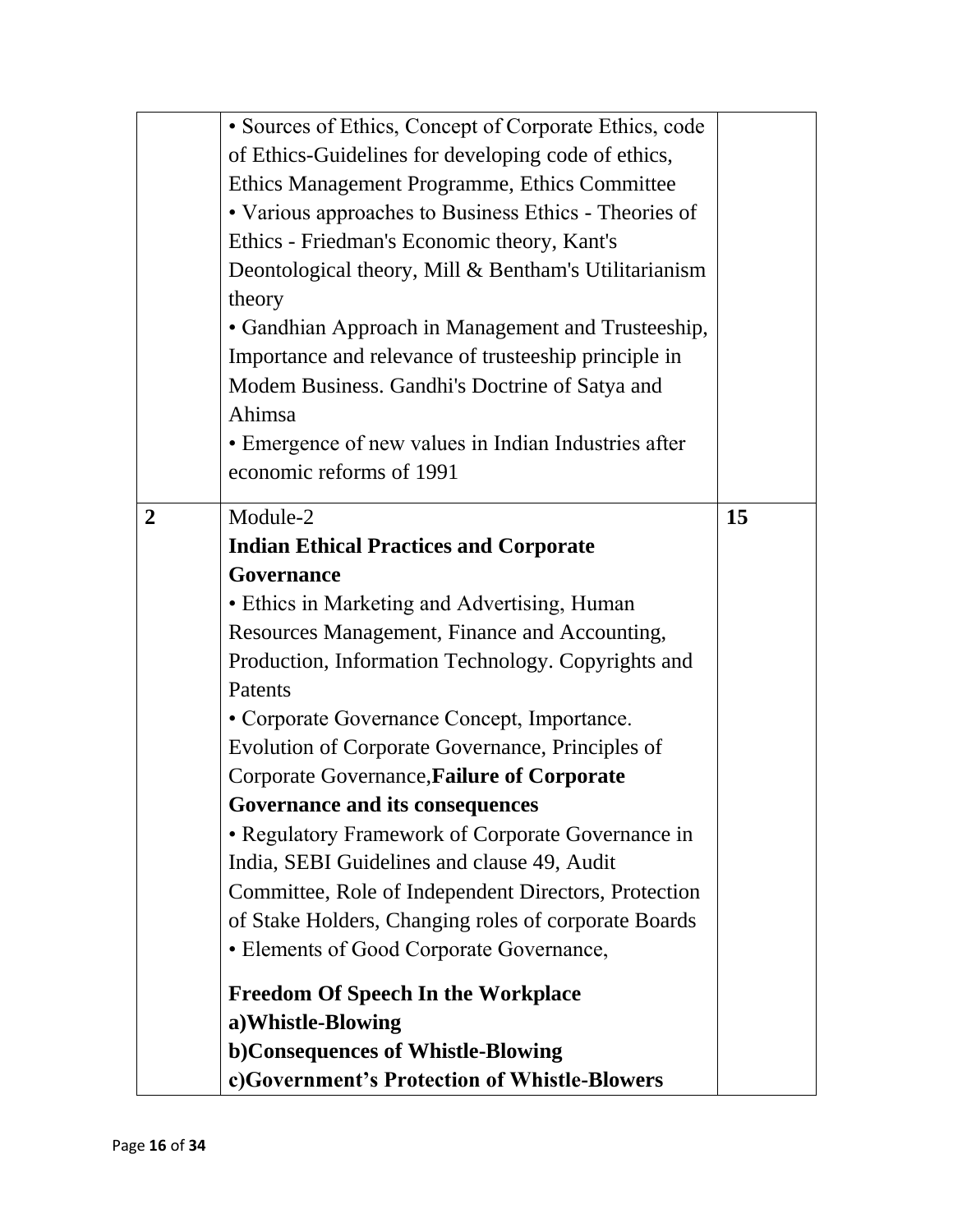|                | • Sources of Ethics, Concept of Corporate Ethics, code<br>of Ethics-Guidelines for developing code of ethics,<br>Ethics Management Programme, Ethics Committee<br>• Various approaches to Business Ethics - Theories of<br>Ethics - Friedman's Economic theory, Kant's<br>Deontological theory, Mill & Bentham's Utilitarianism<br>theory<br>• Gandhian Approach in Management and Trusteeship,<br>Importance and relevance of trusteeship principle in<br>Modem Business. Gandhi's Doctrine of Satya and<br>Ahimsa                                                                                                                                                                                                                                                                                  |    |
|----------------|------------------------------------------------------------------------------------------------------------------------------------------------------------------------------------------------------------------------------------------------------------------------------------------------------------------------------------------------------------------------------------------------------------------------------------------------------------------------------------------------------------------------------------------------------------------------------------------------------------------------------------------------------------------------------------------------------------------------------------------------------------------------------------------------------|----|
|                | • Emergence of new values in Indian Industries after<br>economic reforms of 1991                                                                                                                                                                                                                                                                                                                                                                                                                                                                                                                                                                                                                                                                                                                     |    |
| $\overline{2}$ | Module-2<br><b>Indian Ethical Practices and Corporate</b><br>Governance<br>• Ethics in Marketing and Advertising, Human<br>Resources Management, Finance and Accounting,<br>Production, Information Technology. Copyrights and<br>Patents<br>• Corporate Governance Concept, Importance.<br>Evolution of Corporate Governance, Principles of<br>Corporate Governance, Failure of Corporate<br>Governance and its consequences<br>• Regulatory Framework of Corporate Governance in<br>India, SEBI Guidelines and clause 49, Audit<br>Committee, Role of Independent Directors, Protection<br>of Stake Holders, Changing roles of corporate Boards<br>• Elements of Good Corporate Governance,<br><b>Freedom Of Speech In the Workplace</b><br>a)Whistle-Blowing<br>b)Consequences of Whistle-Blowing | 15 |
|                | c)Government's Protection of Whistle-Blowers                                                                                                                                                                                                                                                                                                                                                                                                                                                                                                                                                                                                                                                                                                                                                         |    |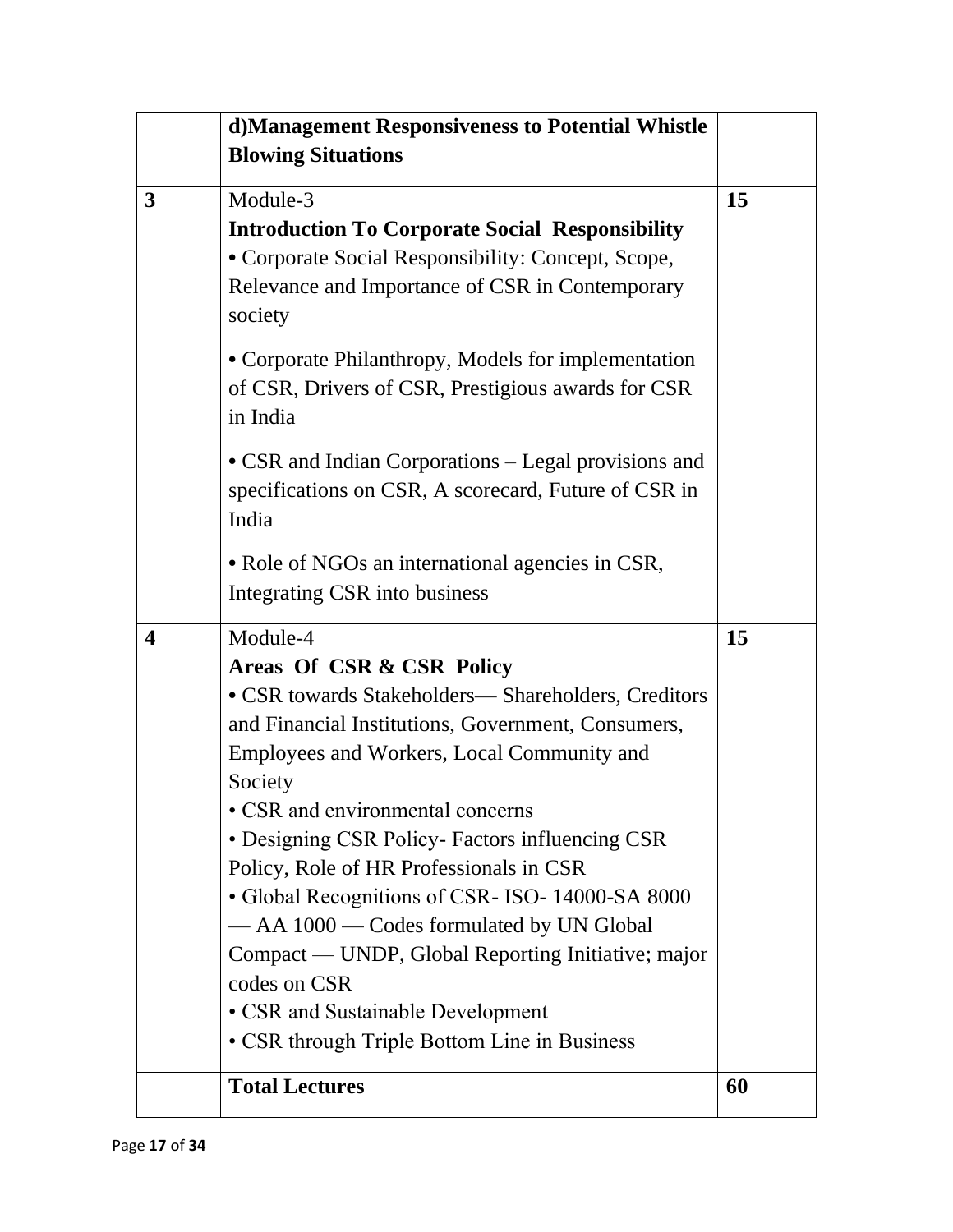|                  | d)Management Responsiveness to Potential Whistle                                            |    |  |
|------------------|---------------------------------------------------------------------------------------------|----|--|
|                  | <b>Blowing Situations</b>                                                                   |    |  |
| 3                | Module-3                                                                                    | 15 |  |
|                  | <b>Introduction To Corporate Social Responsibility</b>                                      |    |  |
|                  | • Corporate Social Responsibility: Concept, Scope,                                          |    |  |
|                  | Relevance and Importance of CSR in Contemporary<br>society                                  |    |  |
|                  | • Corporate Philanthropy, Models for implementation                                         |    |  |
|                  | of CSR, Drivers of CSR, Prestigious awards for CSR<br>in India                              |    |  |
|                  | • CSR and Indian Corporations – Legal provisions and                                        |    |  |
|                  | specifications on CSR, A scorecard, Future of CSR in<br>India                               |    |  |
|                  | • Role of NGOs an international agencies in CSR,                                            |    |  |
|                  | Integrating CSR into business                                                               |    |  |
| $\boldsymbol{4}$ | Module-4                                                                                    | 15 |  |
|                  | Areas Of CSR & CSR Policy                                                                   |    |  |
|                  | • CSR towards Stakeholders— Shareholders, Creditors                                         |    |  |
|                  | and Financial Institutions, Government, Consumers,                                          |    |  |
|                  | Employees and Workers, Local Community and                                                  |    |  |
|                  | Society                                                                                     |    |  |
|                  | • CSR and environmental concerns                                                            |    |  |
|                  | • Designing CSR Policy- Factors influencing CSR                                             |    |  |
|                  | Policy, Role of HR Professionals in CSR                                                     |    |  |
|                  | • Global Recognitions of CSR-ISO-14000-SA 8000<br>— AA 1000 — Codes formulated by UN Global |    |  |
|                  | Compact — UNDP, Global Reporting Initiative; major                                          |    |  |
|                  | codes on CSR                                                                                |    |  |
|                  | • CSR and Sustainable Development                                                           |    |  |
|                  | • CSR through Triple Bottom Line in Business                                                |    |  |
|                  | <b>Total Lectures</b>                                                                       | 60 |  |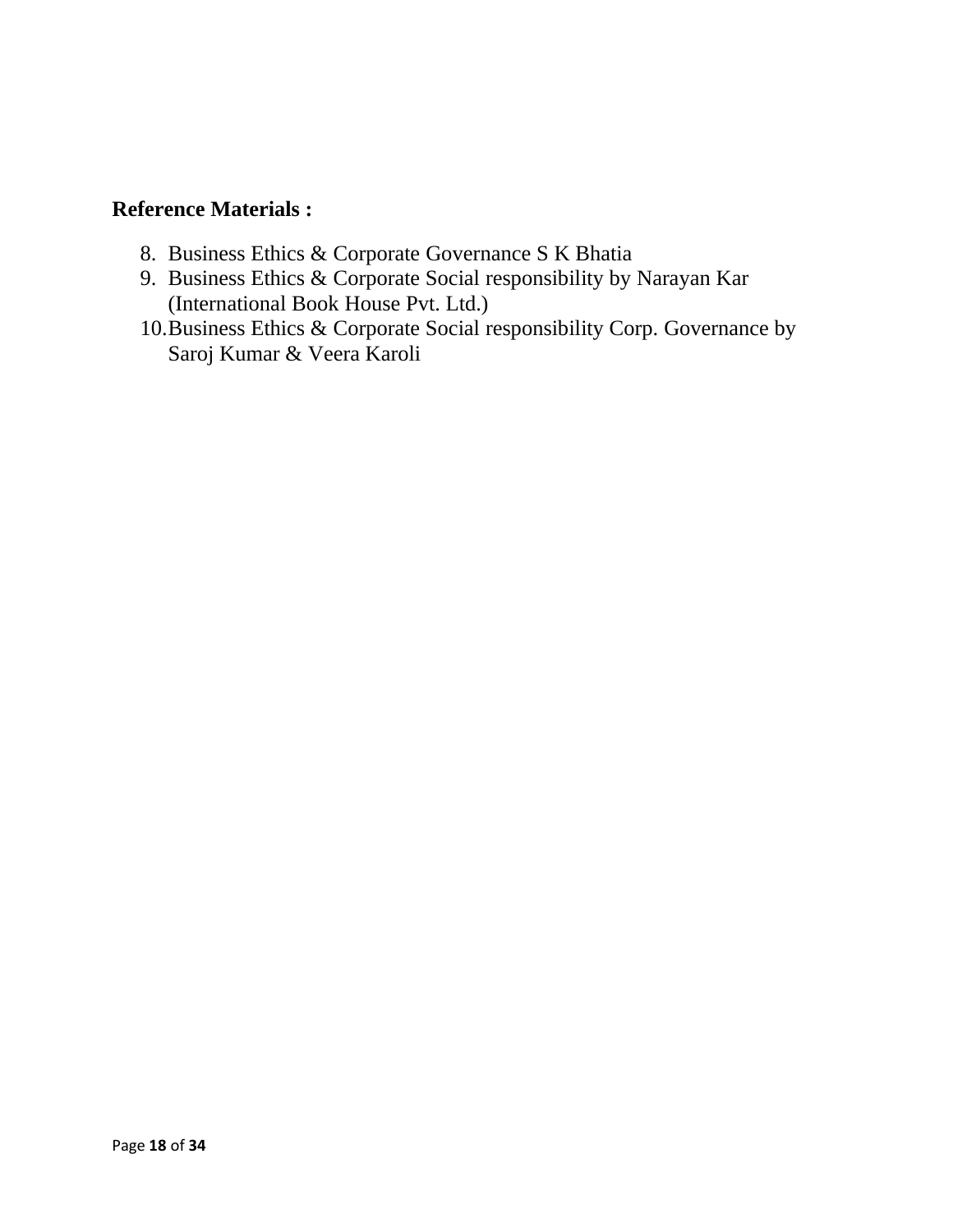## **Reference Materials :**

- 8. Business Ethics & Corporate Governance S K Bhatia
- 9. Business Ethics & Corporate Social responsibility by Narayan Kar (International Book House Pvt. Ltd.)
- 10.Business Ethics & Corporate Social responsibility Corp. Governance by Saroj Kumar & Veera Karoli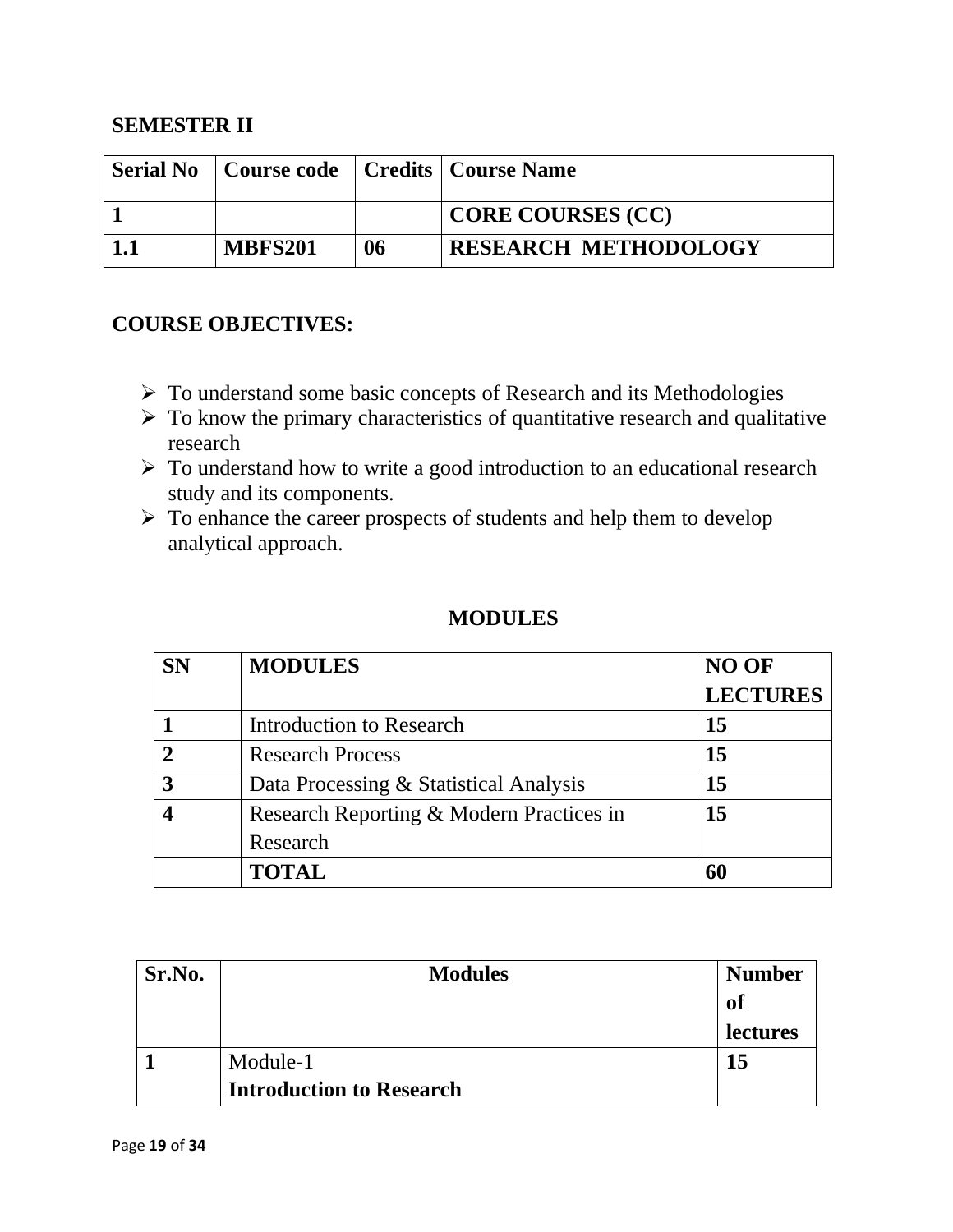#### **SEMESTER II**

|     | <b>Serial No</b>   Course code   Credits   Course Name |    |                             |
|-----|--------------------------------------------------------|----|-----------------------------|
|     |                                                        |    | CORE COURSES (CC)           |
| 1.1 | <b>MBFS201</b>                                         | 06 | <b>RESEARCH METHODOLOGY</b> |

# **COURSE OBJECTIVES:**

- $\triangleright$  To understand some basic concepts of Research and its Methodologies
- $\triangleright$  To know the primary characteristics of quantitative research and qualitative research
- ➢ To understand how to write a good introduction to an educational research study and its components.
- ➢ To enhance the career prospects of students and help them to develop analytical approach.

| <b>SN</b> | <b>MODULES</b>                           | <b>NO OF</b>    |
|-----------|------------------------------------------|-----------------|
|           |                                          | <b>LECTURES</b> |
|           | <b>Introduction to Research</b>          | 15              |
| ↑         | <b>Research Process</b>                  | 15              |
|           | Data Processing & Statistical Analysis   | 15              |
|           | Research Reporting & Modern Practices in | 15              |
|           | Research                                 |                 |
|           | <b>TOTAL</b>                             | 60              |

### **MODULES**

| Sr.No. | <b>Modules</b>                  | <b>Number</b>   |
|--------|---------------------------------|-----------------|
|        |                                 | of              |
|        |                                 | <b>lectures</b> |
|        | Module-1                        | 15              |
|        | <b>Introduction to Research</b> |                 |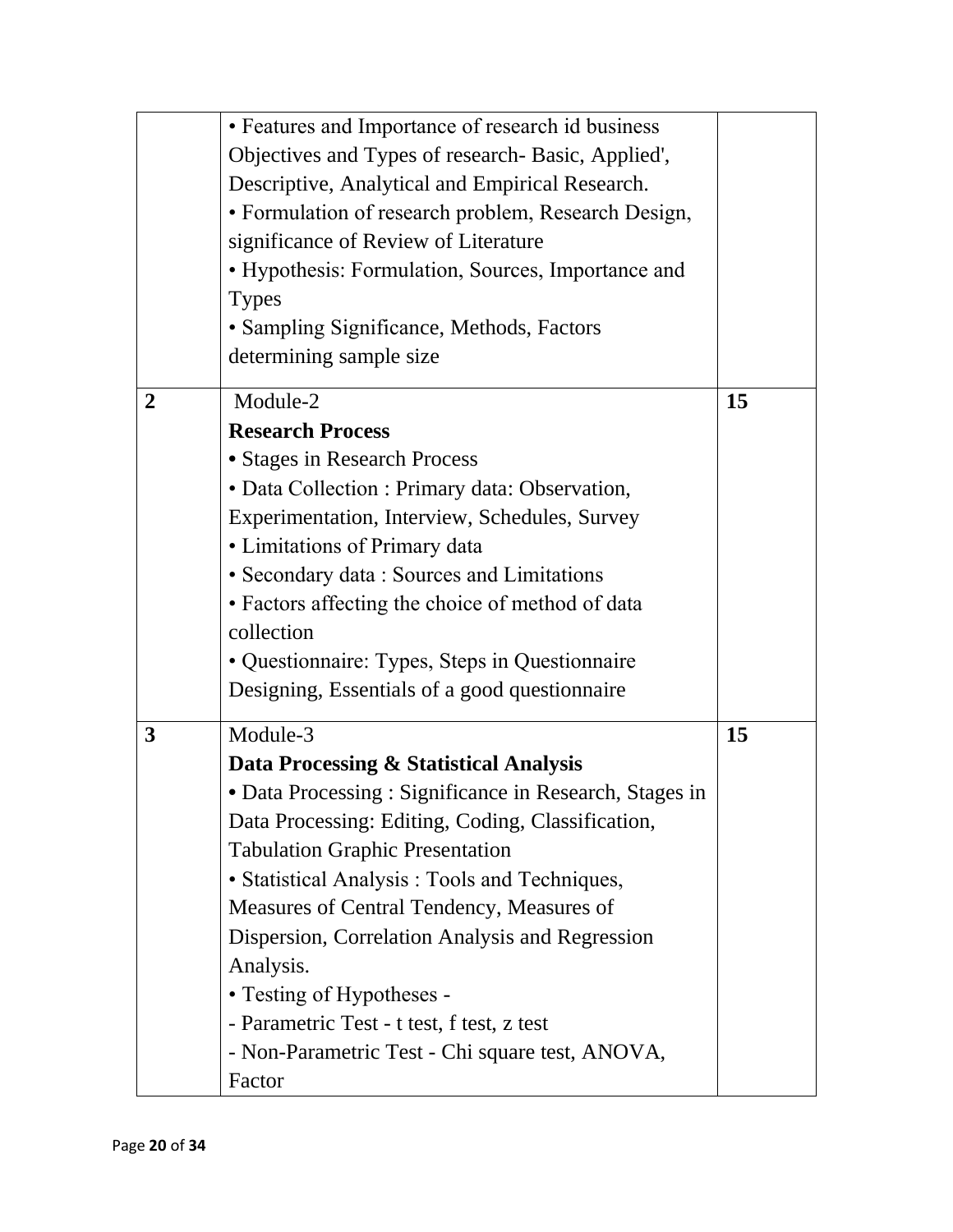|                | • Features and Importance of research id business<br>Objectives and Types of research- Basic, Applied',<br>Descriptive, Analytical and Empirical Research.<br>• Formulation of research problem, Research Design,<br>significance of Review of Literature<br>• Hypothesis: Formulation, Sources, Importance and<br><b>Types</b>                                                                                                                                                                                   |    |
|----------------|-------------------------------------------------------------------------------------------------------------------------------------------------------------------------------------------------------------------------------------------------------------------------------------------------------------------------------------------------------------------------------------------------------------------------------------------------------------------------------------------------------------------|----|
|                | • Sampling Significance, Methods, Factors<br>determining sample size                                                                                                                                                                                                                                                                                                                                                                                                                                              |    |
| $\overline{2}$ | Module-2<br><b>Research Process</b><br>• Stages in Research Process<br>• Data Collection : Primary data: Observation,<br>Experimentation, Interview, Schedules, Survey<br>· Limitations of Primary data<br>• Secondary data: Sources and Limitations<br>• Factors affecting the choice of method of data<br>collection<br>• Questionnaire: Types, Steps in Questionnaire<br>Designing, Essentials of a good questionnaire                                                                                         | 15 |
| 3              | Module-3<br>Data Processing & Statistical Analysis<br>• Data Processing: Significance in Research, Stages in<br>Data Processing: Editing, Coding, Classification,<br><b>Tabulation Graphic Presentation</b><br>• Statistical Analysis: Tools and Techniques,<br>Measures of Central Tendency, Measures of<br>Dispersion, Correlation Analysis and Regression<br>Analysis.<br>• Testing of Hypotheses -<br>- Parametric Test - t test, f test, z test<br>- Non-Parametric Test - Chi square test, ANOVA,<br>Factor | 15 |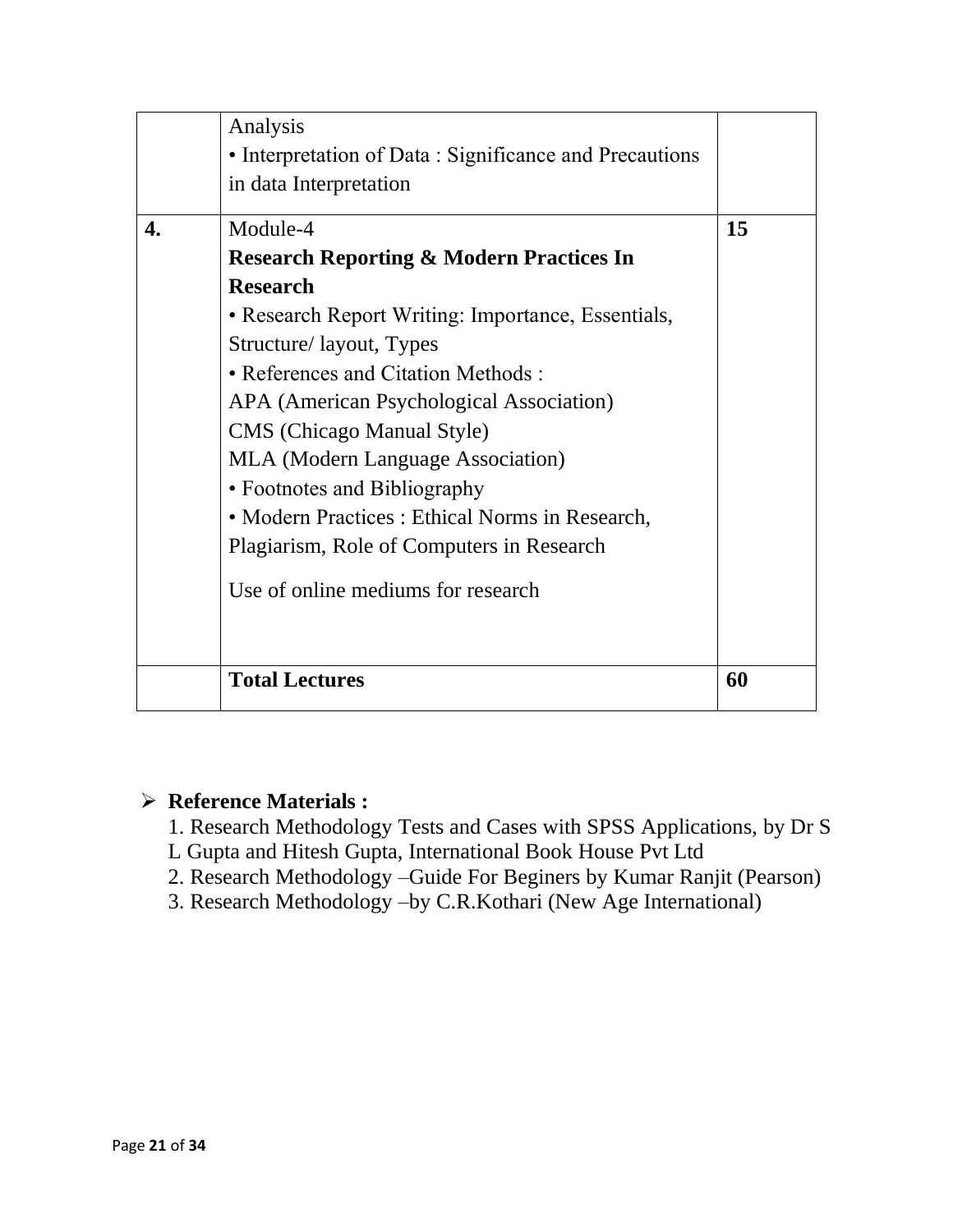|    | Analysis                                               |    |
|----|--------------------------------------------------------|----|
|    | • Interpretation of Data: Significance and Precautions |    |
|    | in data Interpretation                                 |    |
| 4. | Module-4                                               | 15 |
|    | <b>Research Reporting &amp; Modern Practices In</b>    |    |
|    | <b>Research</b>                                        |    |
|    | • Research Report Writing: Importance, Essentials,     |    |
|    | Structure/layout, Types                                |    |
|    | • References and Citation Methods:                     |    |
|    | APA (American Psychological Association)               |    |
|    | <b>CMS</b> (Chicago Manual Style)                      |    |
|    | <b>MLA</b> (Modern Language Association)               |    |
|    | • Footnotes and Bibliography                           |    |
|    | • Modern Practices : Ethical Norms in Research,        |    |
|    | Plagiarism, Role of Computers in Research              |    |
|    | Use of online mediums for research                     |    |
|    |                                                        |    |
|    | <b>Total Lectures</b>                                  | 60 |

#### ➢ **Reference Materials :**

- 1. Research Methodology Tests and Cases with SPSS Applications, by Dr S
- L Gupta and Hitesh Gupta, International Book House Pvt Ltd
- 2. Research Methodology –Guide For Beginers by Kumar Ranjit (Pearson)
- 3. Research Methodology –by C.R.Kothari (New Age International)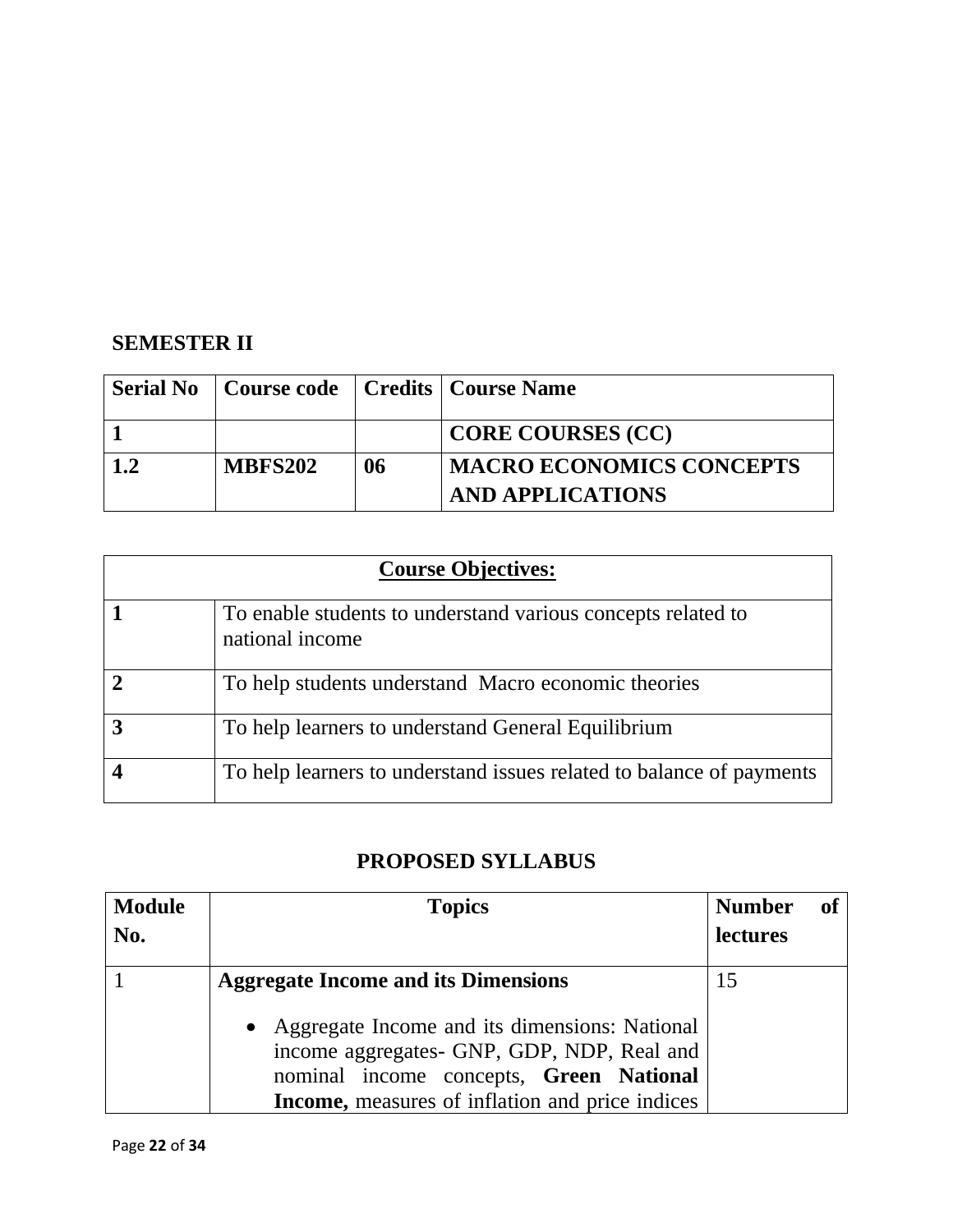## **SEMESTER II**

| <b>Serial No</b> |                |    | Course code   Credits   Course Name                        |
|------------------|----------------|----|------------------------------------------------------------|
|                  |                |    | <b>CORE COURSES (CC)</b>                                   |
| 1.2              | <b>MBFS202</b> | 06 | <b>MACRO ECONOMICS CONCEPTS</b><br><b>AND APPLICATIONS</b> |

| <b>Course Objectives:</b> |                                                                                 |  |  |
|---------------------------|---------------------------------------------------------------------------------|--|--|
|                           | To enable students to understand various concepts related to<br>national income |  |  |
|                           | To help students understand Macro economic theories                             |  |  |
|                           | To help learners to understand General Equilibrium                              |  |  |
|                           | To help learners to understand issues related to balance of payments            |  |  |

# **PROPOSED SYLLABUS**

| <b>Module</b><br>No. | <b>Topics</b>                                                                                                                                                                                      | <b>Number</b><br><b>lectures</b> | of |
|----------------------|----------------------------------------------------------------------------------------------------------------------------------------------------------------------------------------------------|----------------------------------|----|
|                      | <b>Aggregate Income and its Dimensions</b>                                                                                                                                                         |                                  |    |
|                      | • Aggregate Income and its dimensions: National<br>income aggregates- GNP, GDP, NDP, Real and<br>nominal income concepts, Green National<br><b>Income,</b> measures of inflation and price indices |                                  |    |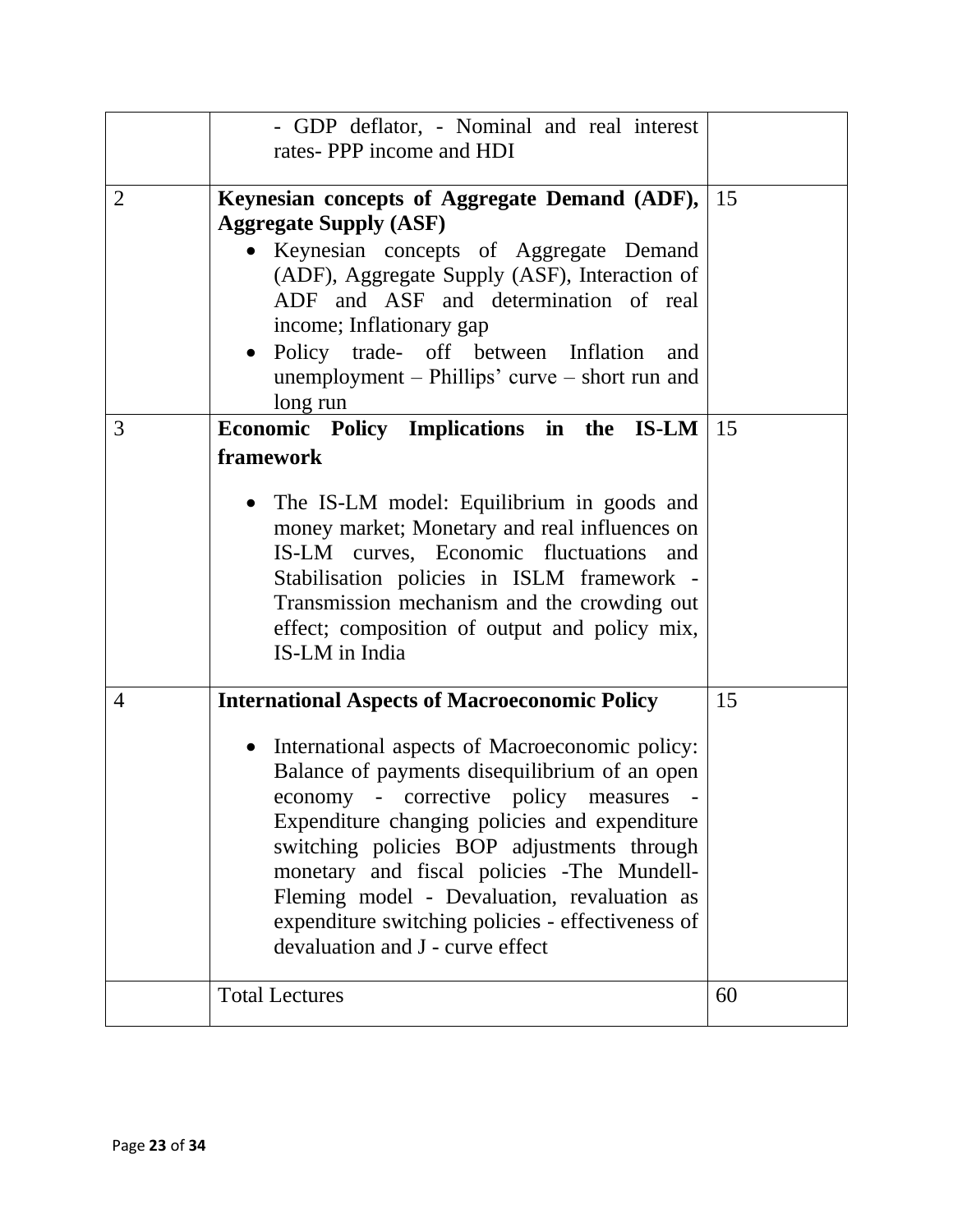|   | - GDP deflator, - Nominal and real interest<br>rates-PPP income and HDI                                                                                                                                                                                                                                                                                                                                                                                                              |    |
|---|--------------------------------------------------------------------------------------------------------------------------------------------------------------------------------------------------------------------------------------------------------------------------------------------------------------------------------------------------------------------------------------------------------------------------------------------------------------------------------------|----|
| 2 | Keynesian concepts of Aggregate Demand (ADF),<br><b>Aggregate Supply (ASF)</b><br>Keynesian concepts of Aggregate Demand<br>(ADF), Aggregate Supply (ASF), Interaction of<br>ADF and ASF and determination of real<br>income; Inflationary gap<br>Policy trade- off between Inflation<br>and<br>unemployment $-$ Phillips' curve $-$ short run and<br>long run                                                                                                                       | 15 |
| 3 | Economic Policy Implications in the IS-LM 15<br>framework<br>The IS-LM model: Equilibrium in goods and<br>money market; Monetary and real influences on<br>IS-LM curves, Economic fluctuations and<br>Stabilisation policies in ISLM framework -<br>Transmission mechanism and the crowding out<br>effect; composition of output and policy mix,<br>IS-LM in India                                                                                                                   |    |
| 4 | <b>International Aspects of Macroeconomic Policy</b><br>International aspects of Macroeconomic policy:<br>Balance of payments disequilibrium of an open<br>economy - corrective policy measures<br>Expenditure changing policies and expenditure<br>switching policies BOP adjustments through<br>monetary and fiscal policies -The Mundell-<br>Fleming model - Devaluation, revaluation as<br>expenditure switching policies - effectiveness of<br>devaluation and J - curve effect | 15 |
|   | <b>Total Lectures</b>                                                                                                                                                                                                                                                                                                                                                                                                                                                                | 60 |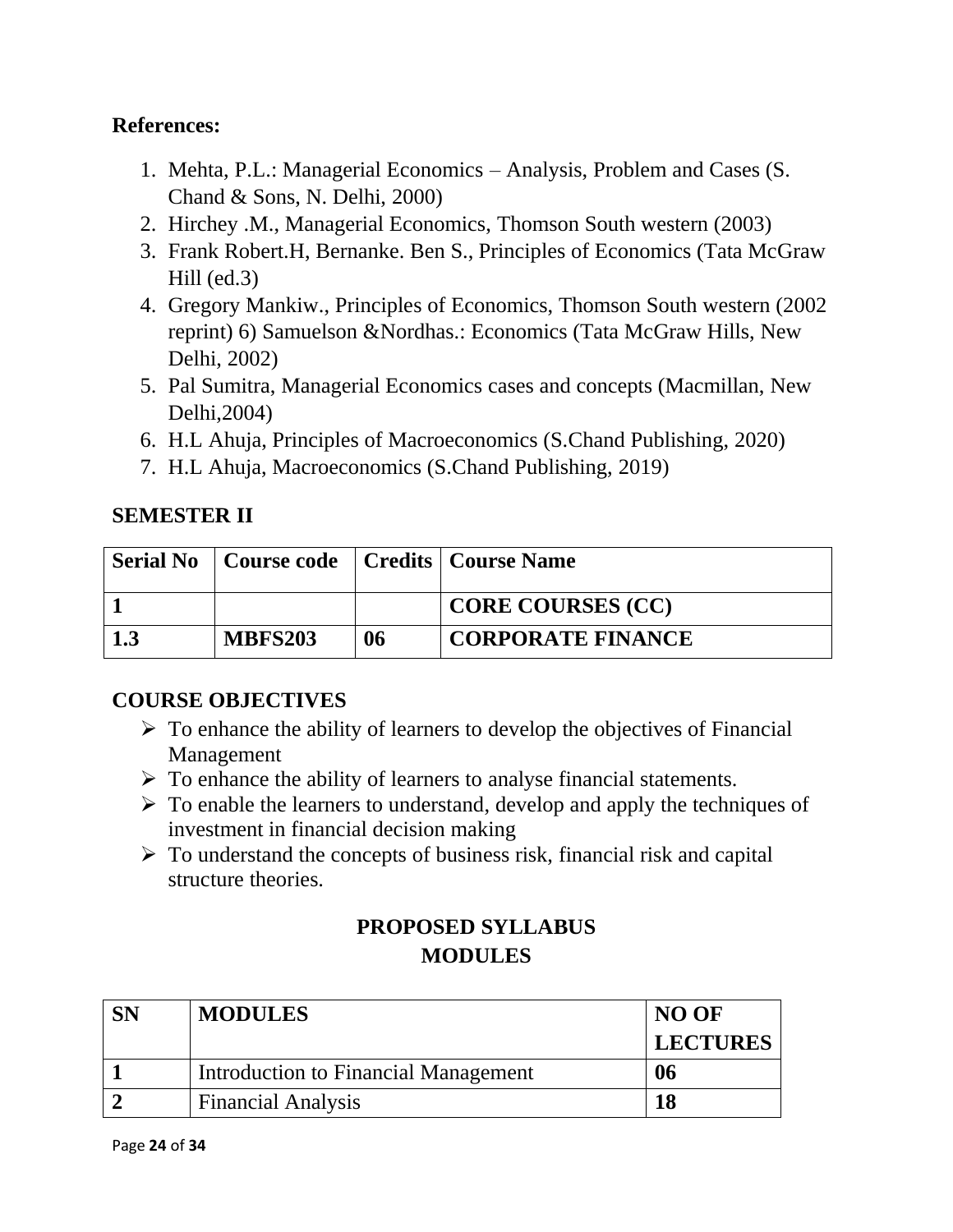### **References:**

- 1. Mehta, P.L.: Managerial Economics Analysis, Problem and Cases (S. Chand & Sons, N. Delhi, 2000)
- 2. Hirchey .M., Managerial Economics, Thomson South western (2003)
- 3. Frank Robert.H, Bernanke. Ben S., Principles of Economics (Tata McGraw Hill (ed.3)
- 4. Gregory Mankiw., Principles of Economics, Thomson South western (2002 reprint) 6) Samuelson &Nordhas.: Economics (Tata McGraw Hills, New Delhi, 2002)
- 5. Pal Sumitra, Managerial Economics cases and concepts (Macmillan, New Delhi,2004)
- 6. H.L Ahuja, Principles of Macroeconomics (S.Chand Publishing, 2020)
- 7. H.L Ahuja, Macroeconomics (S.Chand Publishing, 2019)

#### **SEMESTER II**

| <b>Serial No</b> |                |    | Course code   Credits   Course Name |
|------------------|----------------|----|-------------------------------------|
|                  |                |    | <b>CORE COURSES (CC)</b>            |
|                  | <b>MBFS203</b> | 06 | <b>CORPORATE FINANCE</b>            |

#### **COURSE OBJECTIVES**

- $\triangleright$  To enhance the ability of learners to develop the objectives of Financial Management
- $\triangleright$  To enhance the ability of learners to analyse financial statements.
- $\triangleright$  To enable the learners to understand, develop and apply the techniques of investment in financial decision making
- $\triangleright$  To understand the concepts of business risk, financial risk and capital structure theories.

# **PROPOSED SYLLABUS MODULES**

| <b>SN</b> | <b>MODULES</b>                       | NO OF<br><b>LECTURES</b> |
|-----------|--------------------------------------|--------------------------|
|           | Introduction to Financial Management | 06                       |
|           | <b>Financial Analysis</b>            |                          |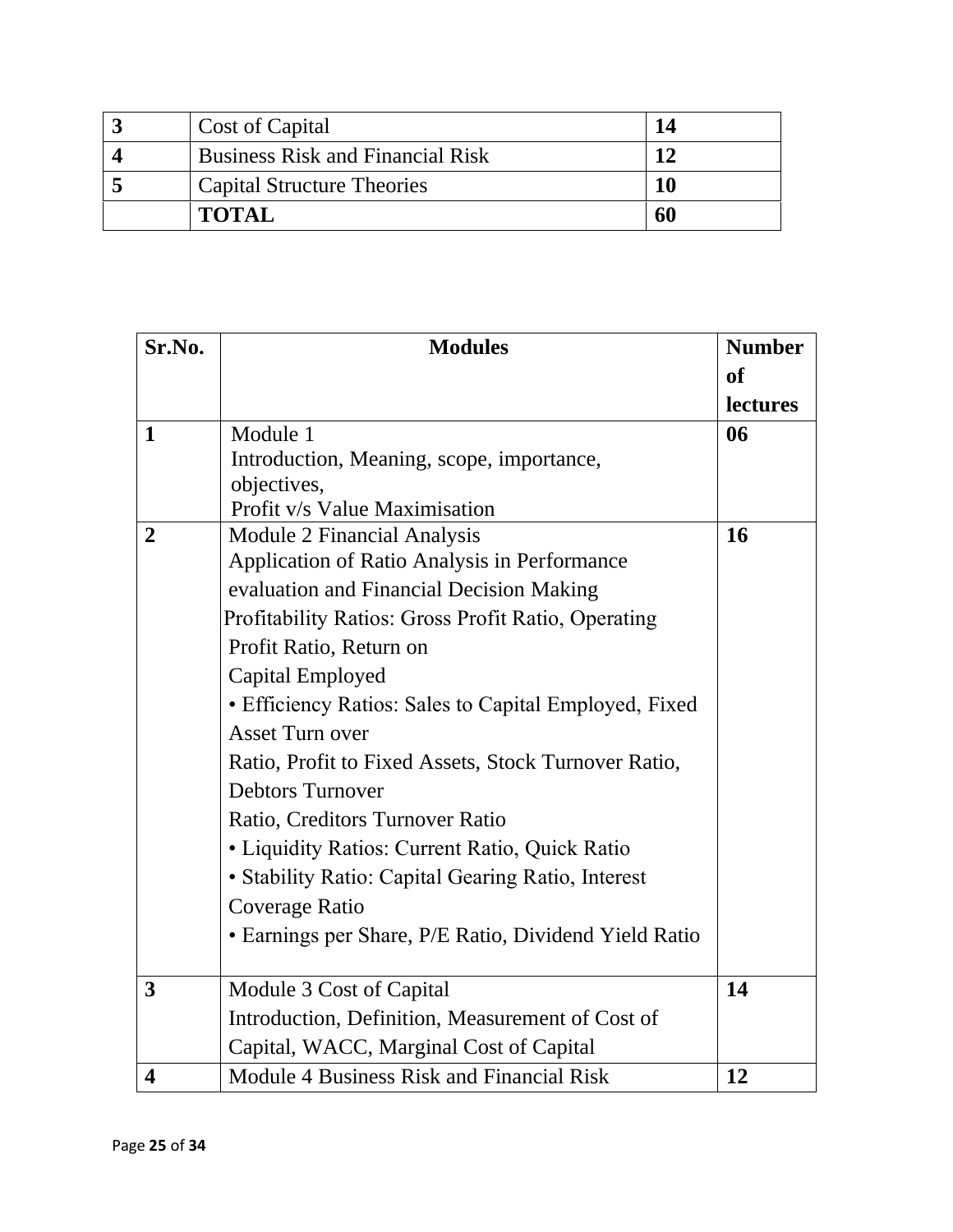| Cost of Capital                         | 14 |
|-----------------------------------------|----|
| <b>Business Risk and Financial Risk</b> | 12 |
| <b>Capital Structure Theories</b>       |    |
| <b>TOTAL</b>                            | 60 |

| Sr.No.         | <b>Modules</b>                                        | <b>Number</b> |
|----------------|-------------------------------------------------------|---------------|
|                |                                                       | <sub>of</sub> |
|                |                                                       | lectures      |
| $\mathbf{1}$   | Module 1                                              | 06            |
|                | Introduction, Meaning, scope, importance,             |               |
|                | objectives,                                           |               |
|                | Profit v/s Value Maximisation                         |               |
| $\overline{2}$ | Module 2 Financial Analysis                           | 16            |
|                | Application of Ratio Analysis in Performance          |               |
|                | evaluation and Financial Decision Making              |               |
|                | Profitability Ratios: Gross Profit Ratio, Operating   |               |
|                | Profit Ratio, Return on                               |               |
|                | Capital Employed                                      |               |
|                | • Efficiency Ratios: Sales to Capital Employed, Fixed |               |
|                | <b>Asset Turn over</b>                                |               |
|                | Ratio, Profit to Fixed Assets, Stock Turnover Ratio,  |               |
|                | <b>Debtors Turnover</b>                               |               |
|                | Ratio, Creditors Turnover Ratio                       |               |
|                | • Liquidity Ratios: Current Ratio, Quick Ratio        |               |
|                | • Stability Ratio: Capital Gearing Ratio, Interest    |               |
|                | Coverage Ratio                                        |               |
|                | • Earnings per Share, P/E Ratio, Dividend Yield Ratio |               |
|                |                                                       |               |
| 3              | Module 3 Cost of Capital                              | 14            |
|                | Introduction, Definition, Measurement of Cost of      |               |
|                | Capital, WACC, Marginal Cost of Capital               |               |
| 4              | Module 4 Business Risk and Financial Risk             | 12            |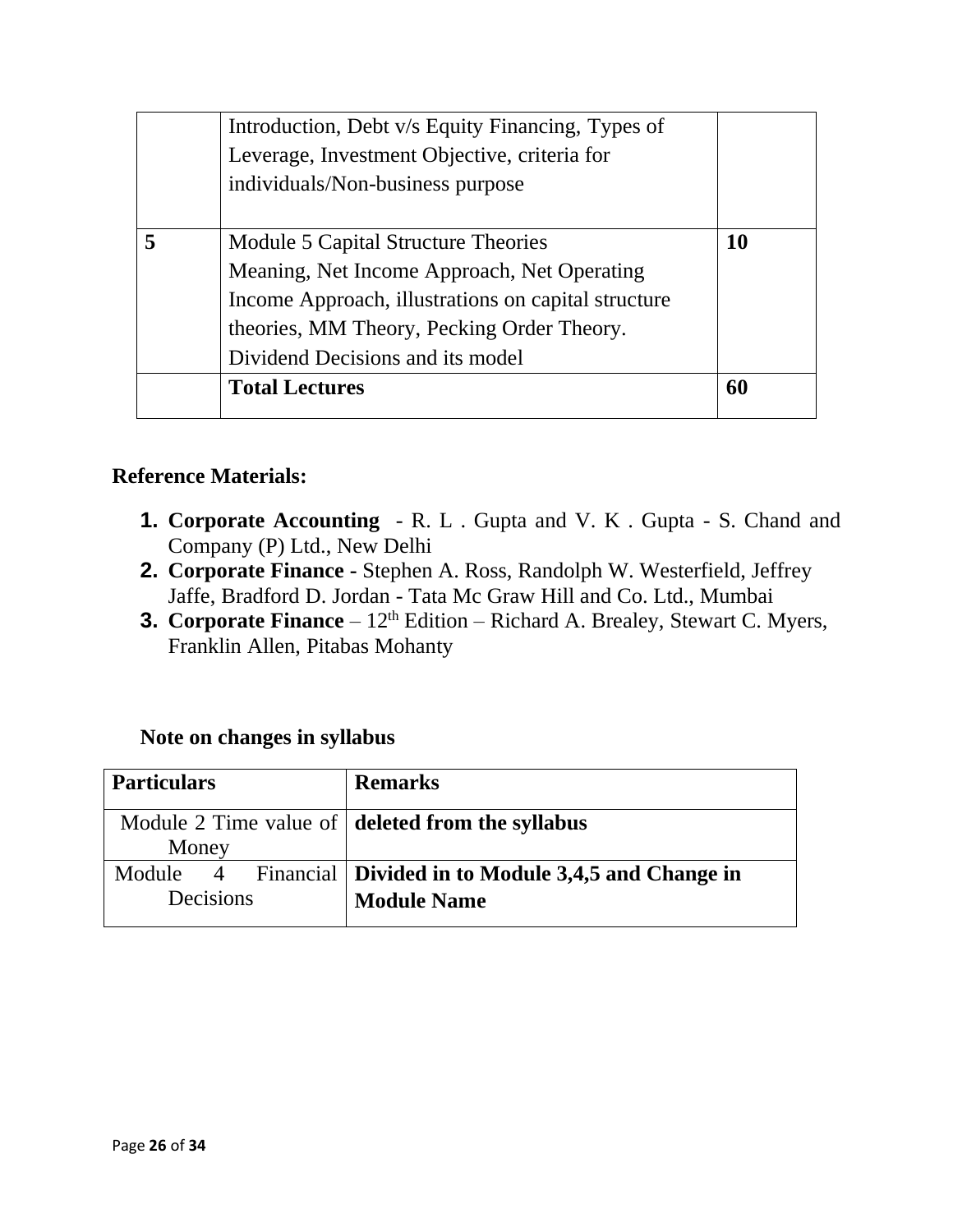| Introduction, Debt v/s Equity Financing, Types of   |    |
|-----------------------------------------------------|----|
| Leverage, Investment Objective, criteria for        |    |
| individuals/Non-business purpose                    |    |
|                                                     |    |
| Module 5 Capital Structure Theories                 | 10 |
| Meaning, Net Income Approach, Net Operating         |    |
| Income Approach, illustrations on capital structure |    |
| theories, MM Theory, Pecking Order Theory.          |    |
| Dividend Decisions and its model                    |    |
| <b>Total Lectures</b>                               | 60 |
|                                                     |    |

#### **Reference Materials:**

- **1. Corporate Accounting**  R. L . Gupta and V. K . Gupta S. Chand and Company (P) Ltd., New Delhi
- **2. Corporate Finance -** Stephen A. Ross, Randolph W. Westerfield, Jeffrey Jaffe, Bradford D. Jordan - Tata Mc Graw Hill and Co. Ltd., Mumbai
- **3. Corporate Finance** 12<sup>th</sup> Edition Richard A. Brealey, Stewart C. Myers, Franklin Allen, Pitabas Mohanty

#### **Note on changes in syllabus**

| <b>Particulars</b>       | <b>Remarks</b>                                                        |
|--------------------------|-----------------------------------------------------------------------|
|                          | Module 2 Time value of <b>deleted from the syllabus</b>               |
| Money                    |                                                                       |
| Module<br>$\overline{4}$ | <b>Example 1</b> Financial   Divided in to Module 3,4,5 and Change in |
| Decisions                | <b>Module Name</b>                                                    |
|                          |                                                                       |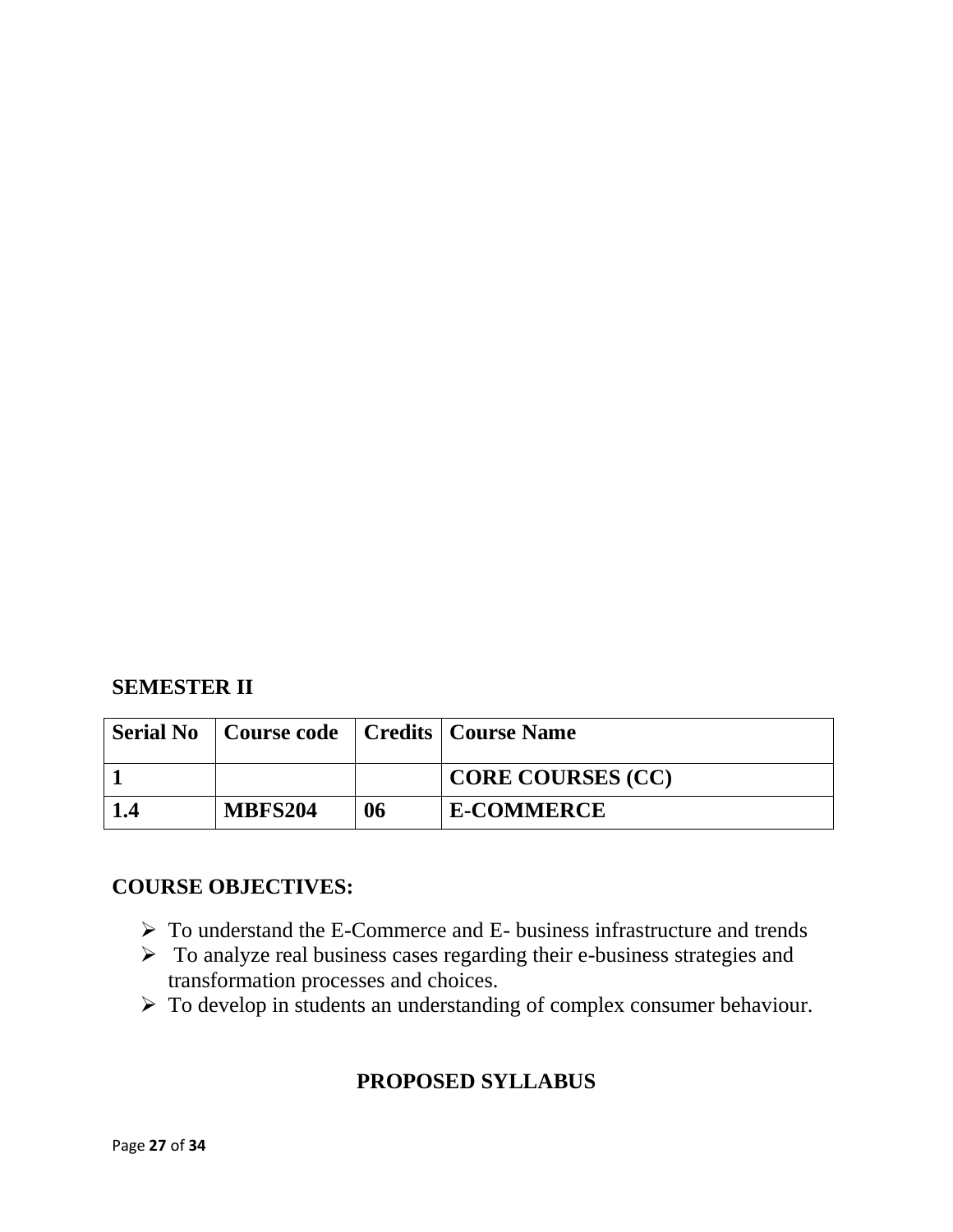### **SEMESTER II**

|     | <b>Serial No</b>   Course code   Credits   Course Name |    |                   |
|-----|--------------------------------------------------------|----|-------------------|
|     |                                                        |    | CORE COURSES (CC) |
| 1.4 | <b>MBFS204</b>                                         | 06 | <b>E-COMMERCE</b> |

### **COURSE OBJECTIVES:**

- ➢ To understand the E-Commerce and E- business infrastructure and trends
- ➢ To analyze real business cases regarding their e-business strategies and transformation processes and choices.
- ➢ To develop in students an understanding of complex consumer behaviour.

# **PROPOSED SYLLABUS**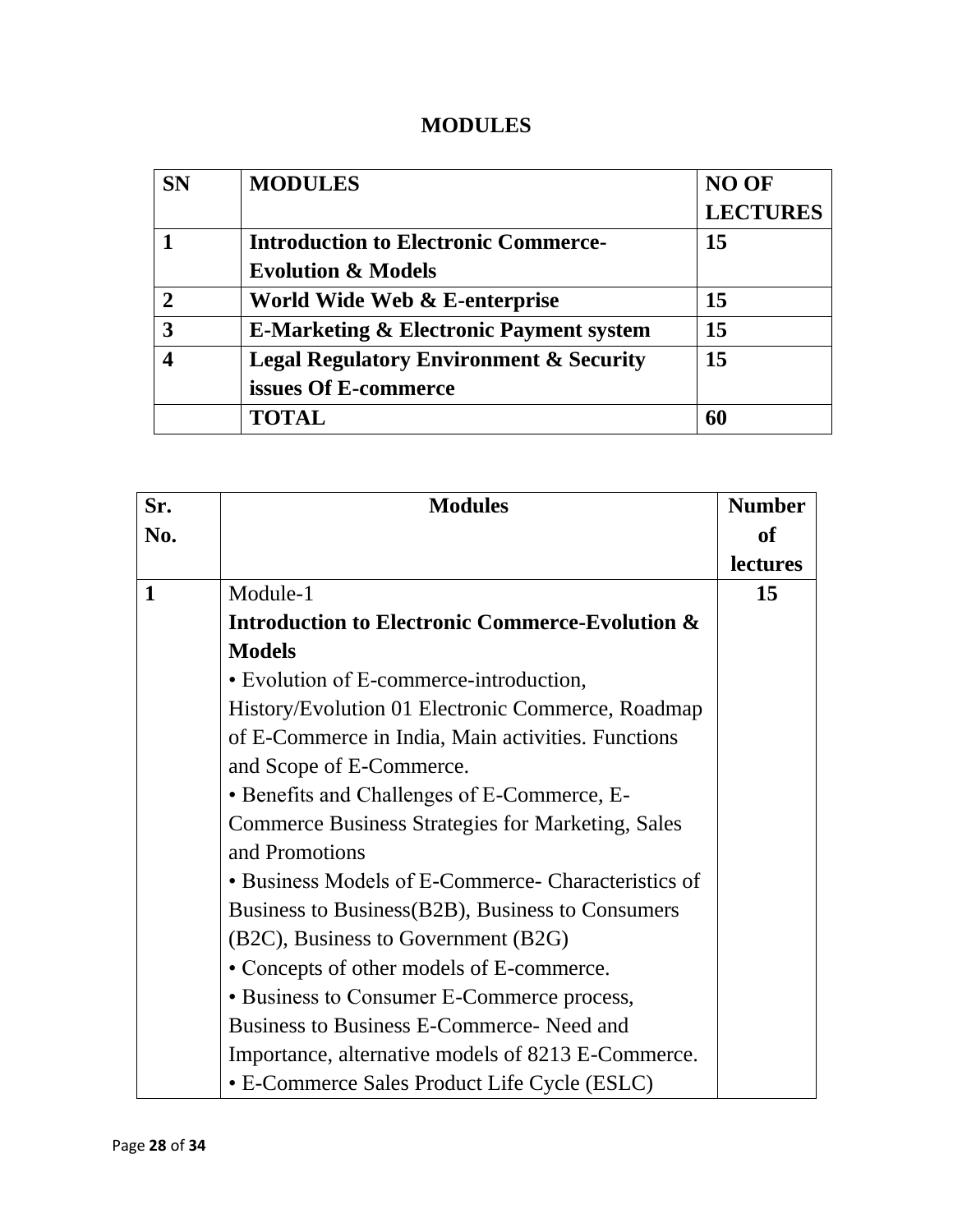## **MODULES**

| <b>SN</b>          | <b>MODULES</b>                                     | <b>NO OF</b>    |
|--------------------|----------------------------------------------------|-----------------|
|                    |                                                    | <b>LECTURES</b> |
|                    | <b>Introduction to Electronic Commerce-</b>        | 15              |
|                    | <b>Evolution &amp; Models</b>                      |                 |
| $\mathbf{\hat{z}}$ | World Wide Web & E-enterprise                      | 15              |
| 3                  | <b>E-Marketing &amp; Electronic Payment system</b> | 15              |
|                    | <b>Legal Regulatory Environment &amp; Security</b> | 15              |
|                    | issues Of E-commerce                               |                 |
|                    | <b>TOTAL</b>                                       | 60              |

| Sr.          | <b>Modules</b>                                             | <b>Number</b> |
|--------------|------------------------------------------------------------|---------------|
| No.          |                                                            | <b>of</b>     |
|              |                                                            | lectures      |
| $\mathbf{1}$ | Module-1                                                   | 15            |
|              | <b>Introduction to Electronic Commerce-Evolution &amp;</b> |               |
|              | <b>Models</b>                                              |               |
|              | • Evolution of E-commerce-introduction,                    |               |
|              | History/Evolution 01 Electronic Commerce, Roadmap          |               |
|              | of E-Commerce in India, Main activities. Functions         |               |
|              | and Scope of E-Commerce.                                   |               |
|              | • Benefits and Challenges of E-Commerce, E-                |               |
|              | Commerce Business Strategies for Marketing, Sales          |               |
|              | and Promotions                                             |               |
|              | • Business Models of E-Commerce- Characteristics of        |               |
|              | Business to Business (B2B), Business to Consumers          |               |
|              | (B2C), Business to Government (B2G)                        |               |
|              | • Concepts of other models of E-commerce.                  |               |
|              | • Business to Consumer E-Commerce process,                 |               |
|              | Business to Business E-Commerce-Need and                   |               |
|              | Importance, alternative models of 8213 E-Commerce.         |               |
|              | • E-Commerce Sales Product Life Cycle (ESLC)               |               |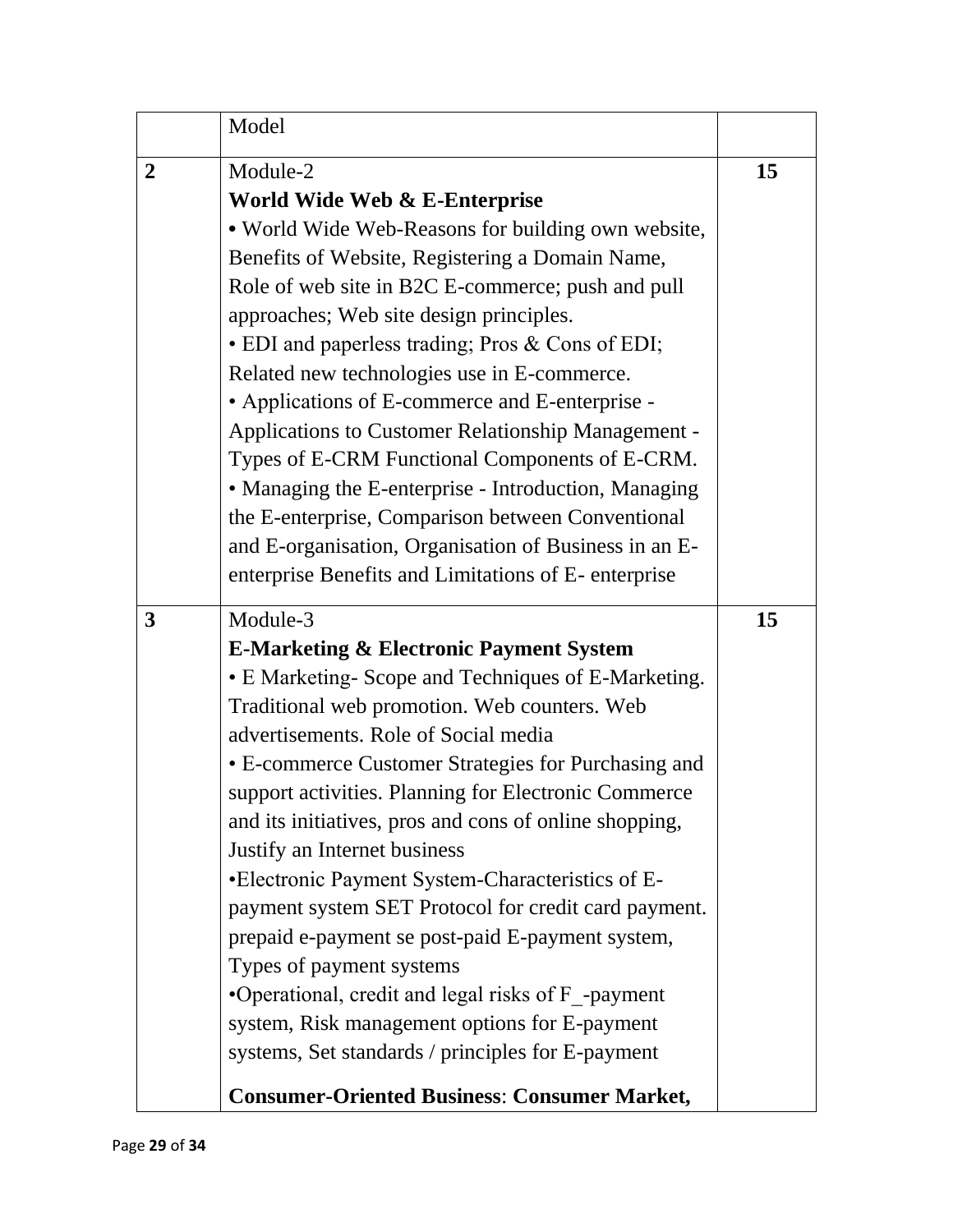|                | Model                                                                                                                                                                                                                                                                                                                                                                                                                                                                                                                                                                                                                                                                                                                                                                                                                                   |    |
|----------------|-----------------------------------------------------------------------------------------------------------------------------------------------------------------------------------------------------------------------------------------------------------------------------------------------------------------------------------------------------------------------------------------------------------------------------------------------------------------------------------------------------------------------------------------------------------------------------------------------------------------------------------------------------------------------------------------------------------------------------------------------------------------------------------------------------------------------------------------|----|
| $\overline{2}$ | Module-2<br>World Wide Web & E-Enterprise<br>• World Wide Web-Reasons for building own website,<br>Benefits of Website, Registering a Domain Name,<br>Role of web site in B2C E-commerce; push and pull<br>approaches; Web site design principles.<br>• EDI and paperless trading; Pros & Cons of EDI;<br>Related new technologies use in E-commerce.<br>• Applications of E-commerce and E-enterprise -<br><b>Applications to Customer Relationship Management -</b><br>Types of E-CRM Functional Components of E-CRM.<br>• Managing the E-enterprise - Introduction, Managing<br>the E-enterprise, Comparison between Conventional<br>and E-organisation, Organisation of Business in an E-<br>enterprise Benefits and Limitations of E-enterprise                                                                                    | 15 |
| 3              | Module-3<br><b>E-Marketing &amp; Electronic Payment System</b><br>• E Marketing-Scope and Techniques of E-Marketing.<br>Traditional web promotion. Web counters. Web<br>advertisements. Role of Social media<br>• E-commerce Customer Strategies for Purchasing and<br>support activities. Planning for Electronic Commerce<br>and its initiatives, pros and cons of online shopping,<br>Justify an Internet business<br>•Electronic Payment System-Characteristics of E-<br>payment system SET Protocol for credit card payment.<br>prepaid e-payment se post-paid E-payment system,<br>Types of payment systems<br>• Operational, credit and legal risks of $F$ -payment<br>system, Risk management options for E-payment<br>systems, Set standards / principles for E-payment<br><b>Consumer-Oriented Business: Consumer Market,</b> | 15 |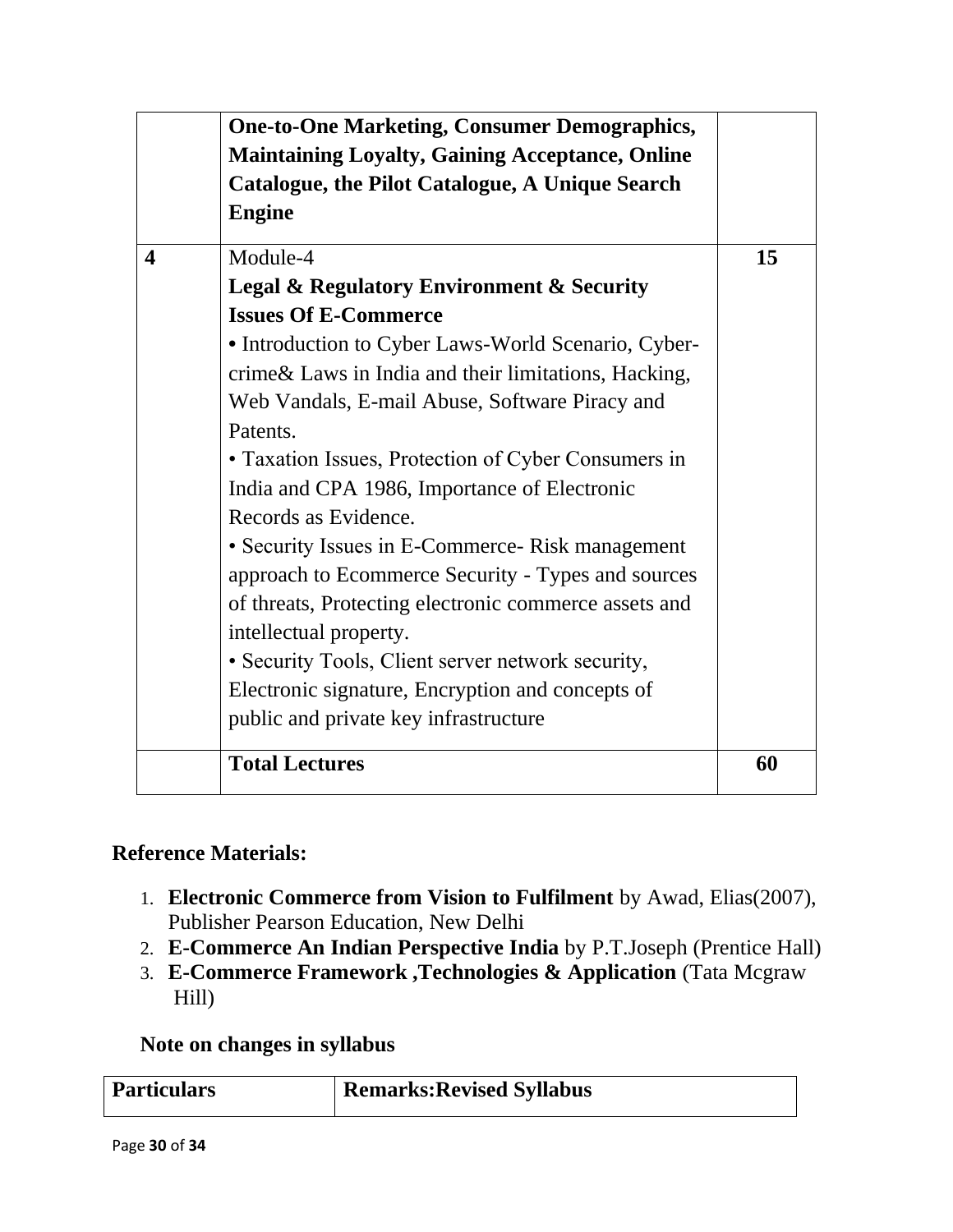|                  | <b>One-to-One Marketing, Consumer Demographics,</b><br><b>Maintaining Loyalty, Gaining Acceptance, Online</b><br><b>Catalogue, the Pilot Catalogue, A Unique Search</b><br><b>Engine</b>                                                                                                                                                                                                                                                                                                                                                                                                                                                                                                                                                                        |    |
|------------------|-----------------------------------------------------------------------------------------------------------------------------------------------------------------------------------------------------------------------------------------------------------------------------------------------------------------------------------------------------------------------------------------------------------------------------------------------------------------------------------------------------------------------------------------------------------------------------------------------------------------------------------------------------------------------------------------------------------------------------------------------------------------|----|
| $\boldsymbol{4}$ | Module-4<br><b>Legal &amp; Regulatory Environment &amp; Security</b><br><b>Issues Of E-Commerce</b><br>• Introduction to Cyber Laws-World Scenario, Cyber-<br>crime & Laws in India and their limitations, Hacking,<br>Web Vandals, E-mail Abuse, Software Piracy and<br>Patents.<br>• Taxation Issues, Protection of Cyber Consumers in<br>India and CPA 1986, Importance of Electronic<br>Records as Evidence.<br>• Security Issues in E-Commerce- Risk management<br>approach to Ecommerce Security - Types and sources<br>of threats, Protecting electronic commerce assets and<br>intellectual property.<br>• Security Tools, Client server network security,<br>Electronic signature, Encryption and concepts of<br>public and private key infrastructure | 15 |
|                  | <b>Total Lectures</b>                                                                                                                                                                                                                                                                                                                                                                                                                                                                                                                                                                                                                                                                                                                                           | 60 |

### **Reference Materials:**

- 1. **Electronic Commerce from Vision to Fulfilment** by Awad, Elias(2007), Publisher Pearson Education, New Delhi
- 2. **E-Commerce An Indian Perspective India** by P.T.Joseph (Prentice Hall)
- 3. **E-Commerce Framework ,Technologies & Application** (Tata Mcgraw Hill)

**Note on changes in syllabus**

| <b>Particulars</b> | <b>Remarks: Revised Syllabus</b> |
|--------------------|----------------------------------|
|--------------------|----------------------------------|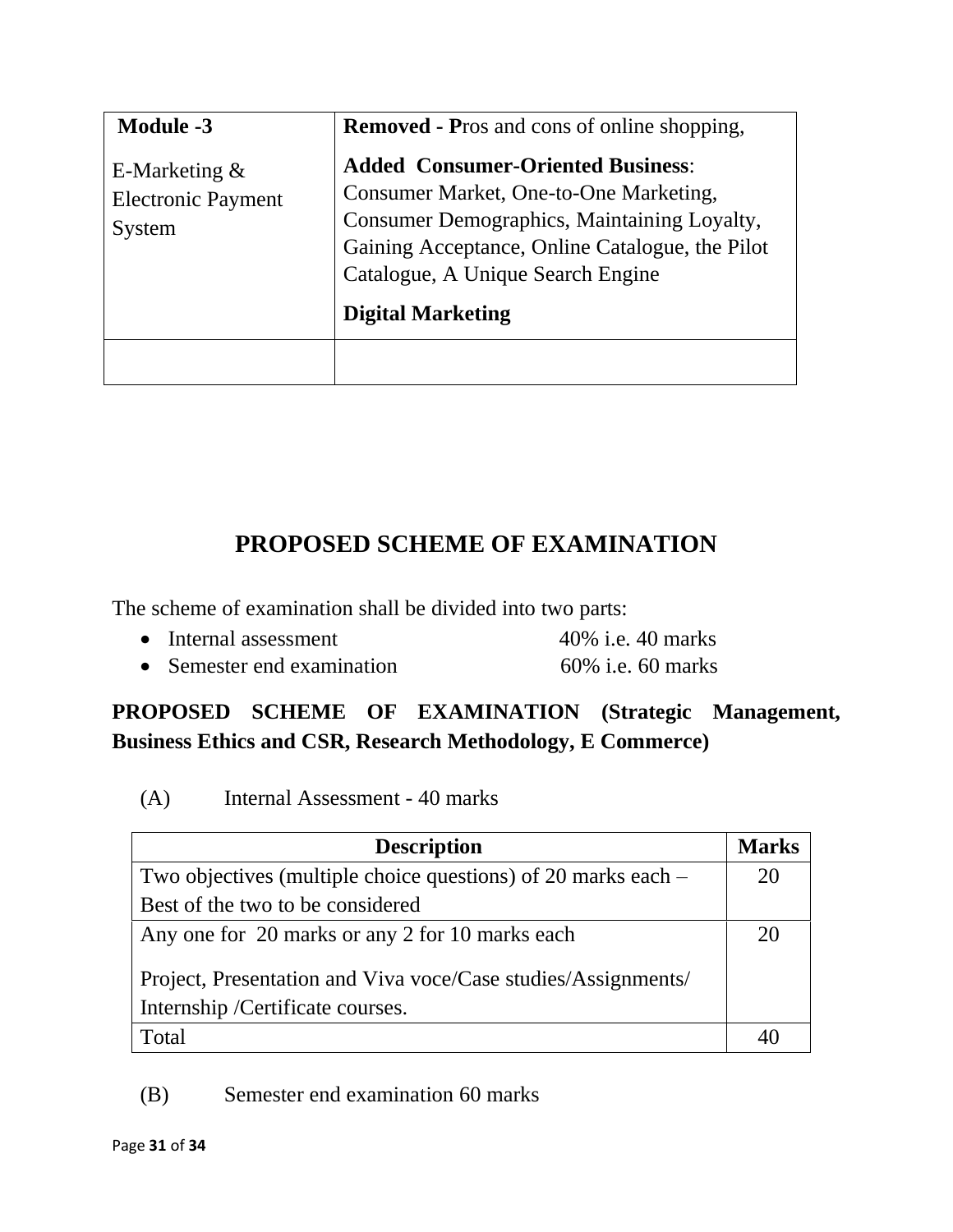| <b>Module -3</b>                                       | <b>Removed - Pros and cons of online shopping,</b>                                                                                                                                                                                                    |
|--------------------------------------------------------|-------------------------------------------------------------------------------------------------------------------------------------------------------------------------------------------------------------------------------------------------------|
| E-Marketing $&$<br><b>Electronic Payment</b><br>System | <b>Added Consumer-Oriented Business:</b><br>Consumer Market, One-to-One Marketing,<br>Consumer Demographics, Maintaining Loyalty,<br>Gaining Acceptance, Online Catalogue, the Pilot<br>Catalogue, A Unique Search Engine<br><b>Digital Marketing</b> |
|                                                        |                                                                                                                                                                                                                                                       |

# **PROPOSED SCHEME OF EXAMINATION**

The scheme of examination shall be divided into two parts:

- Internal assessment 40% i.e. 40 marks
- Semester end examination 60% i.e. 60 marks

# **PROPOSED SCHEME OF EXAMINATION (Strategic Management, Business Ethics and CSR, Research Methodology, E Commerce)**

(A) Internal Assessment - 40 marks

| <b>Description</b>                                              | <b>Marks</b> |
|-----------------------------------------------------------------|--------------|
| Two objectives (multiple choice questions) of 20 marks each $-$ | 20           |
| Best of the two to be considered                                |              |
| Any one for 20 marks or any 2 for 10 marks each                 | 20           |
| Project, Presentation and Viva voce/Case studies/Assignments/   |              |
| Internship /Certificate courses.                                |              |
| Total                                                           |              |

(B) Semester end examination 60 marks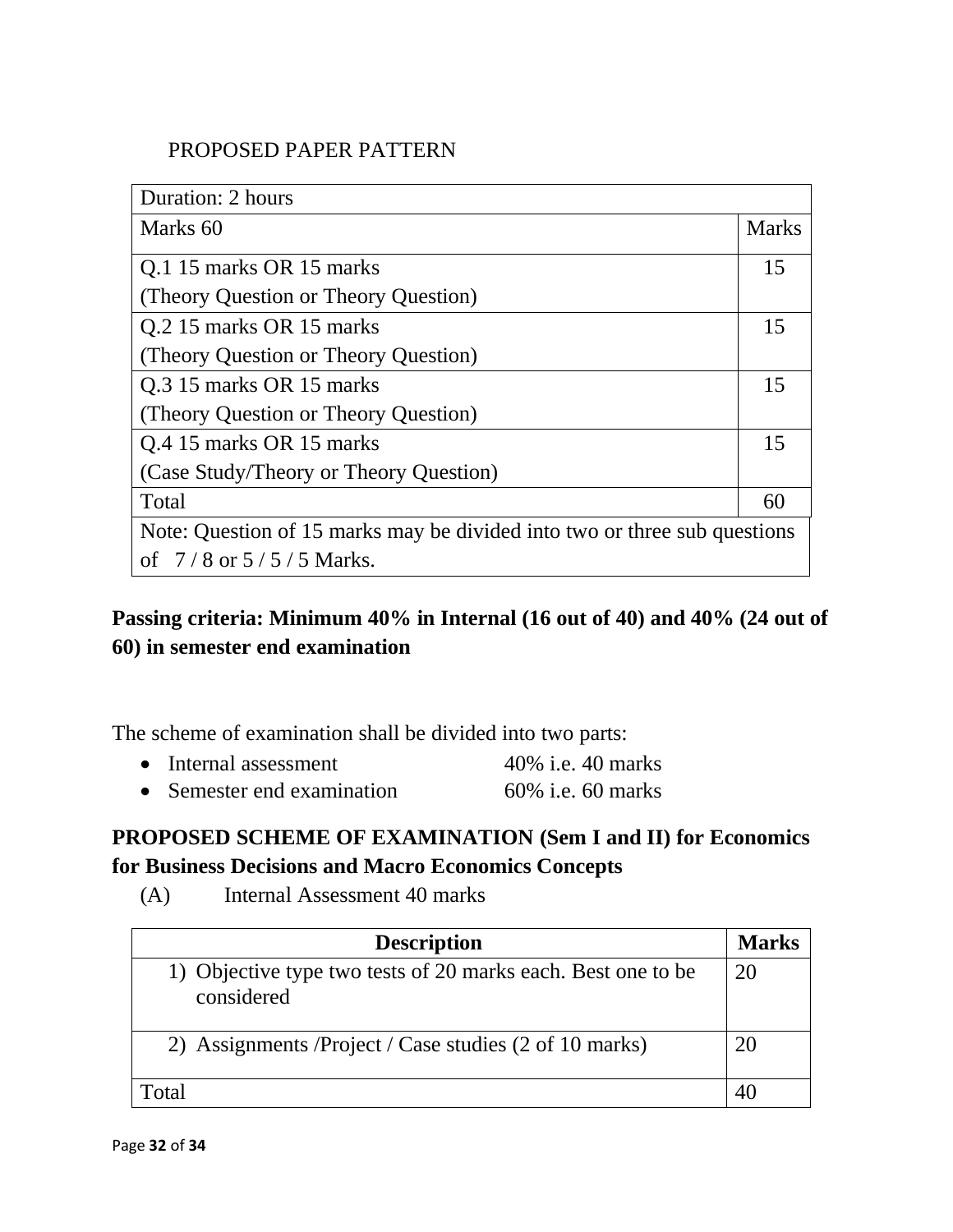### PROPOSED PAPER PATTERN

| Duration: 2 hours                                                         |              |
|---------------------------------------------------------------------------|--------------|
| Marks 60                                                                  | <b>Marks</b> |
| Q.1 15 marks OR 15 marks                                                  | 15           |
| (Theory Question or Theory Question)                                      |              |
| Q.2 15 marks OR 15 marks                                                  | 15           |
| (Theory Question or Theory Question)                                      |              |
| Q.3 15 marks OR 15 marks                                                  | 15           |
| (Theory Question or Theory Question)                                      |              |
| Q.4 15 marks OR 15 marks                                                  | 15           |
| (Case Study/Theory or Theory Question)                                    |              |
| Total                                                                     | 60           |
| Note: Question of 15 marks may be divided into two or three sub questions |              |
| of $7/8$ or $5/5/5$ Marks.                                                |              |

# **Passing criteria: Minimum 40% in Internal (16 out of 40) and 40% (24 out of 60) in semester end examination**

The scheme of examination shall be divided into two parts:

• Internal assessment 40% i.e. 40 marks • Semester end examination 60% i.e. 60 marks

# **PROPOSED SCHEME OF EXAMINATION (Sem I and II) for Economics for Business Decisions and Macro Economics Concepts**

(A) Internal Assessment 40 marks

| <b>Description</b>                                                         | Marks |
|----------------------------------------------------------------------------|-------|
| 1) Objective type two tests of 20 marks each. Best one to be<br>considered | 20    |
| 2) Assignments / Project / Case studies (2 of 10 marks)                    | 20    |
| Total                                                                      |       |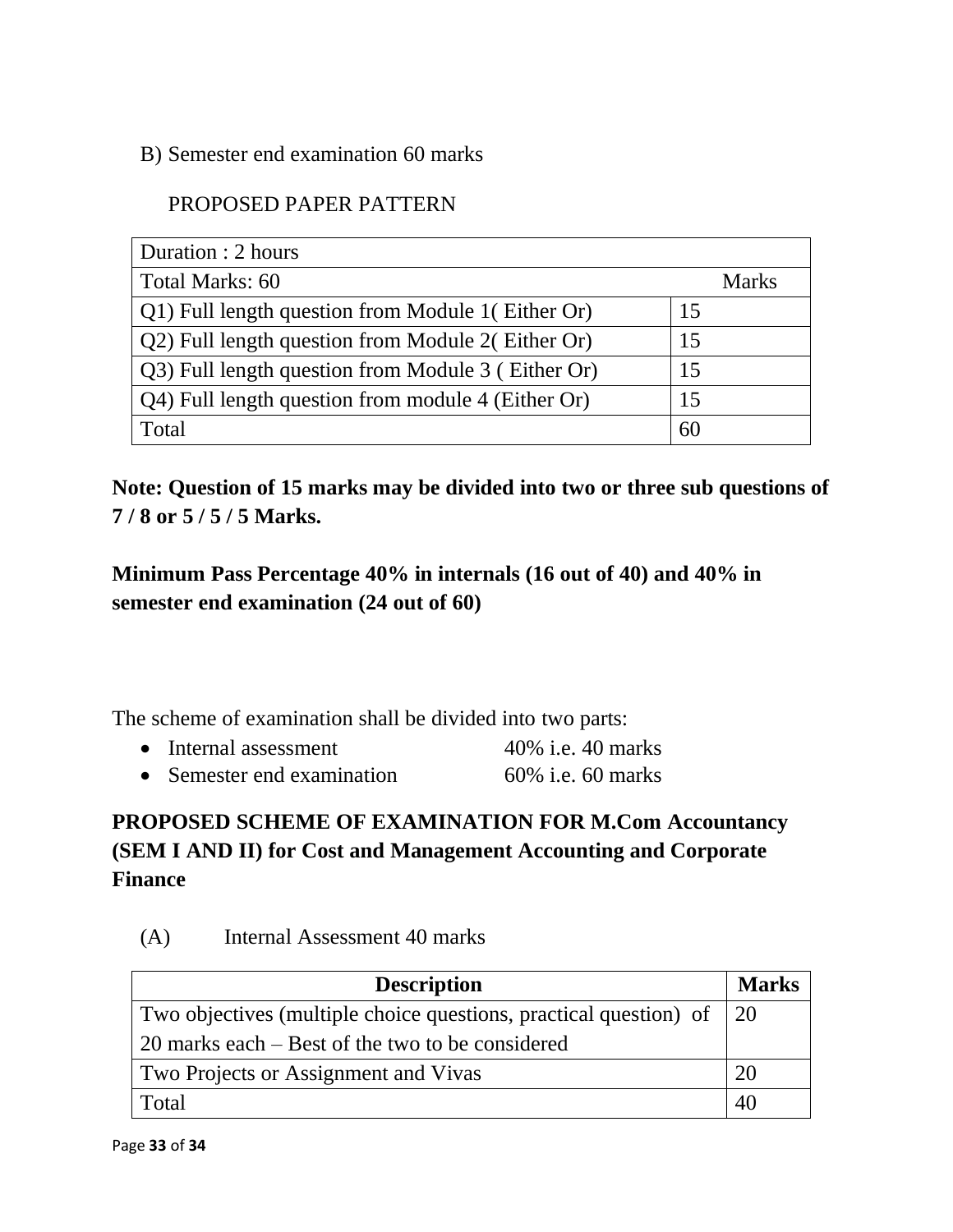B) Semester end examination 60 marks

## PROPOSED PAPER PATTERN

| Duration : 2 hours                                 |              |
|----------------------------------------------------|--------------|
| Total Marks: 60                                    | <b>Marks</b> |
| Q1) Full length question from Module 1(Either Or)  | 15           |
| Q2) Full length question from Module 2(Either Or)  | 15           |
| Q3) Full length question from Module 3 (Either Or) | 15           |
| Q4) Full length question from module 4 (Either Or) | 15           |
| Total                                              | 60           |

**Note: Question of 15 marks may be divided into two or three sub questions of 7 / 8 or 5 / 5 / 5 Marks.**

**Minimum Pass Percentage 40% in internals (16 out of 40) and 40% in semester end examination (24 out of 60)**

The scheme of examination shall be divided into two parts:

• Internal assessment 40% i.e. 40 marks • Semester end examination 60% i.e. 60 marks

# **PROPOSED SCHEME OF EXAMINATION FOR M.Com Accountancy (SEM I AND II) for Cost and Management Accounting and Corporate Finance**

(A) Internal Assessment 40 marks

| <b>Description</b>                                                           | <b>Marks</b> |
|------------------------------------------------------------------------------|--------------|
| Two objectives (multiple choice questions, practical question) of $\vert$ 20 |              |
| 20 marks each $-$ Best of the two to be considered                           |              |
| Two Projects or Assignment and Vivas                                         | 20           |
| Total                                                                        | 40           |